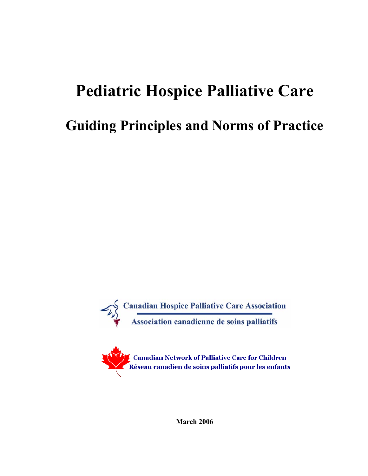# **Pediatric Hospice Palliative Care**

## **Guiding Principles and Norms of Practice**





**March 2006**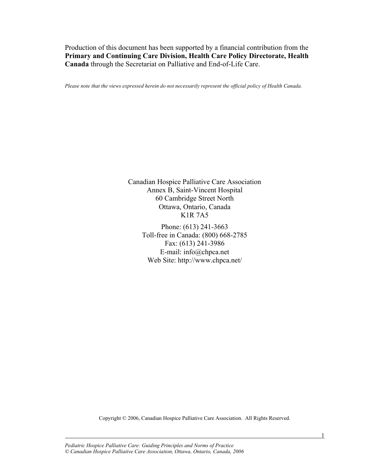Production of this document has been supported by a financial contribution from the **Primary and Continuing Care Division, Health Care Policy Directorate, Health Canada** through the Secretariat on Palliative and End-of-Life Care.

*Please note that the views expressed herein do not necessarily represent the official policy of Health Canada.* 

Canadian Hospice Palliative Care Association Annex B, Saint-Vincent Hospital 60 Cambridge Street North Ottawa, Ontario, Canada K1R 7A5

> Phone: (613) 241-3663 Toll-free in Canada: (800) 668-2785 Fax: (613) 241-3986 E-mail: info@chpca.net Web Site: http://www.chpca.net/

Copyright © 2006, Canadian Hospice Palliative Care Association. All Rights Reserved.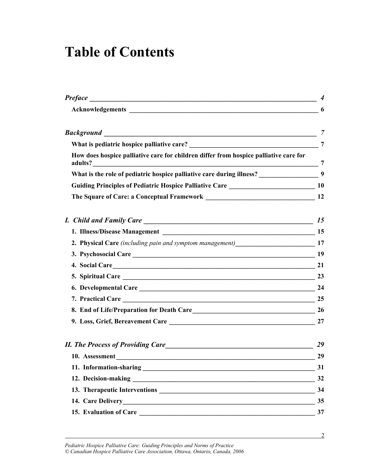## **Table of Contents**

|                                                                                            | $\boldsymbol{4}$ |
|--------------------------------------------------------------------------------------------|------------------|
| Acknowledgements 6                                                                         |                  |
|                                                                                            | $\overline{7}$   |
|                                                                                            |                  |
| How does hospice palliative care for children differ from hospice palliative care for      |                  |
| What is the role of pediatric hospice palliative care during illness? ___________________9 |                  |
|                                                                                            |                  |
|                                                                                            |                  |
|                                                                                            | 15               |
|                                                                                            |                  |
|                                                                                            |                  |
|                                                                                            |                  |
| 4. Social Care 21                                                                          |                  |
| 5. Spiritual Care 23                                                                       |                  |
| 6. Developmental Care 24                                                                   |                  |
|                                                                                            | 25               |
|                                                                                            |                  |
|                                                                                            | 27               |
|                                                                                            | 29               |
| 10. Assessment                                                                             | 29               |
|                                                                                            | 31               |
|                                                                                            | 32               |
|                                                                                            | 34               |
|                                                                                            | 35               |
|                                                                                            | 37               |
|                                                                                            |                  |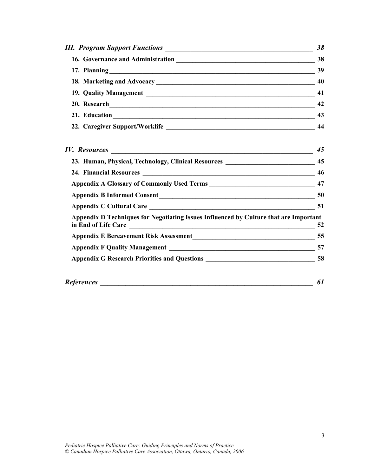| 38 |
|----|
| 38 |
| 39 |
|    |
| 41 |
| 42 |
| 43 |
| 44 |

|                                                                                       | 45 |
|---------------------------------------------------------------------------------------|----|
| 23. Human, Physical, Technology, Clinical Resources ____________________________      | 45 |
|                                                                                       | 46 |
|                                                                                       | 47 |
|                                                                                       | 50 |
| Appendix C Cultural Care                                                              | 51 |
| Appendix D Techniques for Negotiating Issues Influenced by Culture that are Important | 52 |
|                                                                                       | 55 |
|                                                                                       | 57 |
|                                                                                       | 58 |
| <b>References</b>                                                                     | 61 |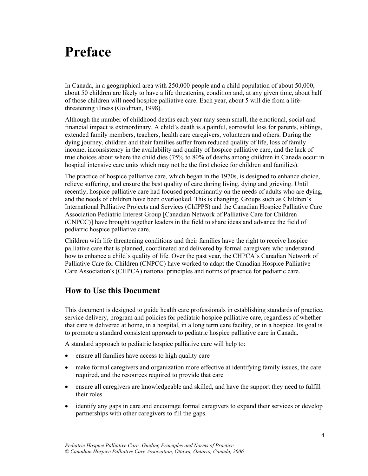## **Preface**

In Canada, in a geographical area with 250,000 people and a child population of about 50,000, about 50 children are likely to have a life threatening condition and, at any given time, about half of those children will need hospice palliative care. Each year, about 5 will die from a lifethreatening illness (Goldman, 1998).

Although the number of childhood deaths each year may seem small, the emotional, social and financial impact is extraordinary. A child's death is a painful, sorrowful loss for parents, siblings, extended family members, teachers, health care caregivers, volunteers and others. During the dying journey, children and their families suffer from reduced quality of life, loss of family income, inconsistency in the availability and quality of hospice palliative care, and the lack of true choices about where the child dies (75% to 80% of deaths among children in Canada occur in hospital intensive care units which may not be the first choice for children and families).

The practice of hospice palliative care, which began in the 1970s, is designed to enhance choice, relieve suffering, and ensure the best quality of care during living, dying and grieving. Until recently, hospice palliative care had focused predominantly on the needs of adults who are dying, and the needs of children have been overlooked. This is changing. Groups such as Children's International Palliative Projects and Services (ChIPPS) and the Canadian Hospice Palliative Care Association Pediatric Interest Group [Canadian Network of Palliative Care for Children (CNPCC)] have brought together leaders in the field to share ideas and advance the field of pediatric hospice palliative care.

Children with life threatening conditions and their families have the right to receive hospice palliative care that is planned, coordinated and delivered by formal caregivers who understand how to enhance a child's quality of life. Over the past year, the CHPCA's Canadian Network of Palliative Care for Children (CNPCC) have worked to adapt the Canadian Hospice Palliative Care Association's (CHPCA) national principles and norms of practice for pediatric care.

#### **How to Use this Document**

l

This document is designed to guide health care professionals in establishing standards of practice, service delivery, program and policies for pediatric hospice palliative care, regardless of whether that care is delivered at home, in a hospital, in a long term care facility, or in a hospice. Its goal is to promote a standard consistent approach to pediatric hospice palliative care in Canada.

A standard approach to pediatric hospice palliative care will help to:

- ensure all families have access to high quality care
- make formal caregivers and organization more effective at identifying family issues, the care required, and the resources required to provide that care
- ensure all caregivers are knowledgeable and skilled, and have the support they need to fulfill their roles
- identify any gaps in care and encourage formal caregivers to expand their services or develop partnerships with other caregivers to fill the gaps.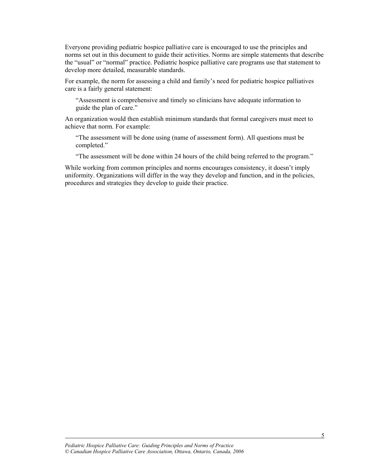Everyone providing pediatric hospice palliative care is encouraged to use the principles and norms set out in this document to guide their activities. Norms are simple statements that describe the "usual" or "normal" practice. Pediatric hospice palliative care programs use that statement to develop more detailed, measurable standards.

For example, the norm for assessing a child and family's need for pediatric hospice palliatives care is a fairly general statement:

"Assessment is comprehensive and timely so clinicians have adequate information to guide the plan of care."

An organization would then establish minimum standards that formal caregivers must meet to achieve that norm. For example:

"The assessment will be done using (name of assessment form). All questions must be completed."

"The assessment will be done within 24 hours of the child being referred to the program."

While working from common principles and norms encourages consistency, it doesn't imply uniformity. Organizations will differ in the way they develop and function, and in the policies, procedures and strategies they develop to guide their practice.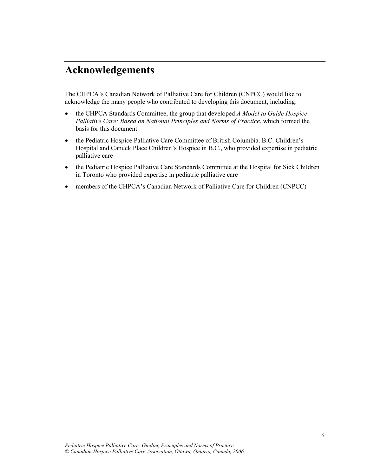### **Acknowledgements**

The CHPCA's Canadian Network of Palliative Care for Children (CNPCC) would like to acknowledge the many people who contributed to developing this document, including:

- x the CHPCA Standards Committee, the group that developed *A Model to Guide Hospice Palliative Care: Based on National Principles and Norms of Practice*, which formed the basis for this document
- the Pediatric Hospice Palliative Care Committee of British Columbia. B.C. Children's Hospital and Canuck Place Children's Hospice in B.C., who provided expertise in pediatric palliative care
- the Pediatric Hospice Palliative Care Standards Committee at the Hospital for Sick Children in Toronto who provided expertise in pediatric palliative care
- members of the CHPCA's Canadian Network of Palliative Care for Children (CNPCC)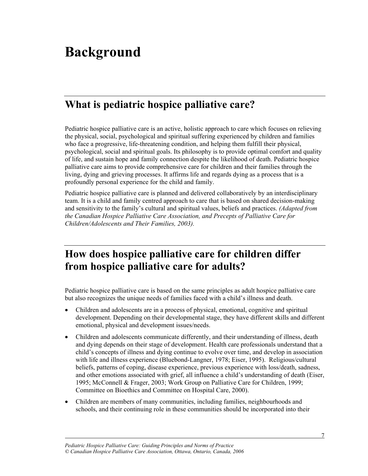## **Background**

### **What is pediatric hospice palliative care?**

Pediatric hospice palliative care is an active, holistic approach to care which focuses on relieving the physical, social, psychological and spiritual suffering experienced by children and families who face a progressive, life-threatening condition, and helping them fulfill their physical, psychological, social and spiritual goals. Its philosophy is to provide optimal comfort and quality of life, and sustain hope and family connection despite the likelihood of death. Pediatric hospice palliative care aims to provide comprehensive care for children and their families through the living, dying and grieving processes. It affirms life and regards dying as a process that is a profoundly personal experience for the child and family.

Pediatric hospice palliative care is planned and delivered collaboratively by an interdisciplinary team. It is a child and family centred approach to care that is based on shared decision-making and sensitivity to the family's cultural and spiritual values, beliefs and practices. *(Adapted from the Canadian Hospice Palliative Care Association, and Precepts of Palliative Care for Children/Adolescents and Their Families, 2003).* 

### **How does hospice palliative care for children differ from hospice palliative care for adults?**

Pediatric hospice palliative care is based on the same principles as adult hospice palliative care but also recognizes the unique needs of families faced with a child's illness and death.

- Children and adolescents are in a process of physical, emotional, cognitive and spiritual development. Depending on their developmental stage, they have different skills and different emotional, physical and development issues/needs.
- x Children and adolescents communicate differently, and their understanding of illness, death and dying depends on their stage of development. Health care professionals understand that a child's concepts of illness and dying continue to evolve over time, and develop in association with life and illness experience (Bluebond-Langner, 1978; Eiser, 1995). Religious/cultural beliefs, patterns of coping, disease experience, previous experience with loss/death, sadness, and other emotions associated with grief, all influence a child's understanding of death (Eiser, 1995; McConnell & Frager, 2003; Work Group on Palliative Care for Children, 1999; Committee on Bioethics and Committee on Hospital Care, 2000).
- Children are members of many communities, including families, neighbourhoods and schools, and their continuing role in these communities should be incorporated into their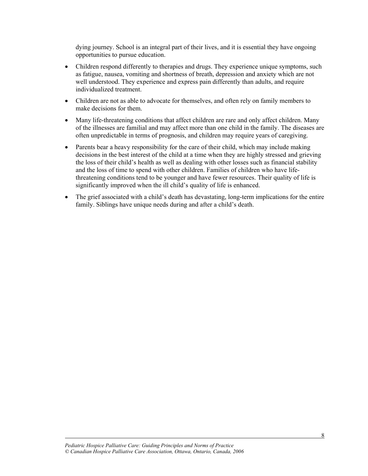dying journey. School is an integral part of their lives, and it is essential they have ongoing opportunities to pursue education.

- Children respond differently to therapies and drugs. They experience unique symptoms, such as fatigue, nausea, vomiting and shortness of breath, depression and anxiety which are not well understood. They experience and express pain differently than adults, and require individualized treatment.
- Children are not as able to advocate for themselves, and often rely on family members to make decisions for them.
- Many life-threatening conditions that affect children are rare and only affect children. Many of the illnesses are familial and may affect more than one child in the family. The diseases are often unpredictable in terms of prognosis, and children may require years of caregiving.
- Parents bear a heavy responsibility for the care of their child, which may include making decisions in the best interest of the child at a time when they are highly stressed and grieving the loss of their child's health as well as dealing with other losses such as financial stability and the loss of time to spend with other children. Families of children who have lifethreatening conditions tend to be younger and have fewer resources. Their quality of life is significantly improved when the ill child's quality of life is enhanced.
- The grief associated with a child's death has devastating, long-term implications for the entire family. Siblings have unique needs during and after a child's death.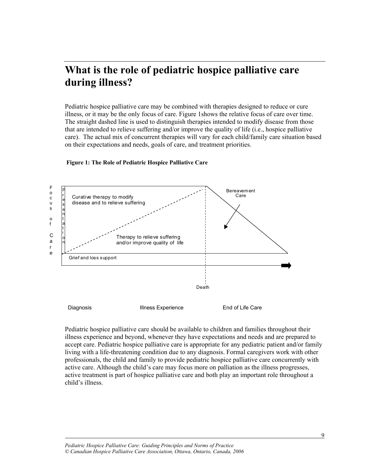### **What is the role of pediatric hospice palliative care during illness?**

Pediatric hospice palliative care may be combined with therapies designed to reduce or cure illness, or it may be the only focus of care. Figure 1shows the relative focus of care over time. The straight dashed line is used to distinguish therapies intended to modify disease from those that are intended to relieve suffering and/or improve the quality of life (i.e., hospice palliative care). The actual mix of concurrent therapies will vary for each child/family care situation based on their expectations and needs, goals of care, and treatment priorities.

#### **Figure 1: The Role of Pediatric Hospice Palliative Care**



Pediatric hospice palliative care should be available to children and families throughout their illness experience and beyond, whenever they have expectations and needs and are prepared to accept care. Pediatric hospice palliative care is appropriate for any pediatric patient and/or family living with a life-threatening condition due to any diagnosis. Formal caregivers work with other professionals, the child and family to provide pediatric hospice palliative care concurrently with active care. Although the child's care may focus more on palliation as the illness progresses, active treatment is part of hospice palliative care and both play an important role throughout a child's illness.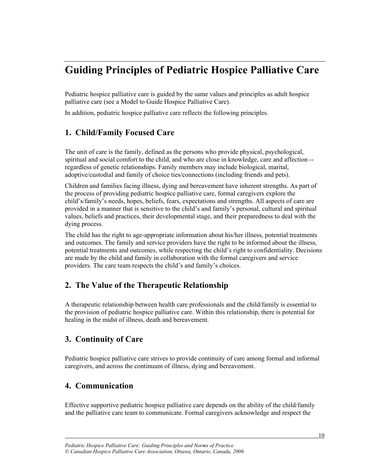### **Guiding Principles of Pediatric Hospice Palliative Care**

Pediatric hospice palliative care is guided by the same values and principles as adult hospice palliative care (see a Model to Guide Hospice Palliative Care).

In addition, pediatric hospice palliative care reflects the following principles.

#### **1. Child/Family Focused Care**

The unit of care is the family, defined as the persons who provide physical, psychological, spiritual and social comfort to the child, and who are close in knowledge, care and affection - regardless of genetic relationships. Family members may include biological, marital, adoptive/custodial and family of choice ties/connections (including friends and pets).

Children and families facing illness, dying and bereavement have inherent strengths. As part of the process of providing pediatric hospice palliative care, formal caregivers explore the child's/family's needs, hopes, beliefs, fears, expectations and strengths. All aspects of care are provided in a manner that is sensitive to the child's and family's personal, cultural and spiritual values, beliefs and practices, their developmental stage, and their preparedness to deal with the dying process.

The child has the right to age-appropriate information about his/her illness, potential treatments and outcomes. The family and service providers have the right to be informed about the illness, potential treatments and outcomes, while respecting the child's right to confidentiality. Decisions are made by the child and family in collaboration with the formal caregivers and service providers. The care team respects the child's and family's choices.

#### **2. The Value of the Therapeutic Relationship**

A therapeutic relationship between health care professionals and the child/family is essential to the provision of pediatric hospice palliative care. Within this relationship, there is potential for healing in the midst of illness, death and bereavement.

#### **3. Continuity of Care**

Pediatric hospice palliative care strives to provide continuity of care among formal and informal caregivers, and across the continuum of illness, dying and bereavement.

#### **4. Communication**

l

Effective supportive pediatric hospice palliative care depends on the ability of the child/family and the palliative care team to communicate. Formal caregivers acknowledge and respect the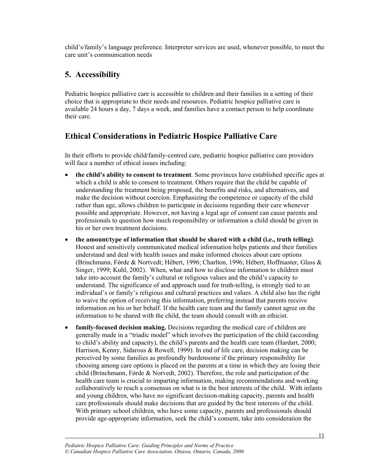child's/family's language preference. Interpreter services are used, whenever possible, to meet the care unit's communication needs

#### **5. Accessibility**

Pediatric hospice palliative care is accessible to children and their families in a setting of their choice that is appropriate to their needs and resources. Pediatric hospice palliative care is available 24 hours a day, 7 days a week, and families have a contact person to help coordinate their care.

#### **Ethical Considerations in Pediatric Hospice Palliative Care**

In their efforts to provide child/family-centred care, pediatric hospice palliative care providers will face a number of ethical issues including:

- the child's ability to consent to treatment. Some provinces have established specific ages at which a child is able to consent to treatment. Others require that the child be capable of understanding the treatment being proposed, the benefits and risks, and alternatives, and make the decision without coercion. Emphasizing the competence or capacity of the child rather than age, allows children to participate in decisions regarding their care whenever possible and appropriate. However, not having a legal age of consent can cause parents and professionals to question how much responsibility or information a child should be given in his or her own treatment decisions.
- x **the amount/type of information that should be shared with a child (i.e., truth telling)**. Honest and sensitively communicated medical information helps patients and their families understand and deal with health issues and make informed choices about care options (Brinchmann, Førde & Nortvedt; Hébert, 1996; Charlton, 1996; Hébert, Hoffmaster, Glass & Singer, 1999; Kuhl, 2002). When, what and how to disclose information to children must take into account the family's cultural or religious values and the child's capacity to understand. The significance of and approach used for truth-telling, is strongly tied to an individual's or family's religious and cultural practices and values. A child also has the right to waive the option of receiving this information, preferring instead that parents receive information on his or her behalf. If the health care team and the family cannot agree on the information to be shared with the child, the team should consult with an ethicist.
- **family-focused decision making.** Decisions regarding the medical care of children are generally made in a "triadic model" which involves the participation of the child (according to child's ability and capacity), the child's parents and the health care team (Hardart, 2000; Harrison, Kenny, Sidarous & Rowell, 1999). In end of life care, decision making can be perceived by some families as profoundly burdensome if the primary responsibility for choosing among care options is placed on the parents at a time in which they are losing their child (Brinchmann, Førde  $&$  Norvedt, 2002). Therefore, the role and participation of the health care team is crucial to imparting information, making recommendations and working collaboratively to reach a consensus on what is in the best interests of the child. With infants and young children, who have no significant decision-making capacity, parents and health care professionals should make decisions that are guided by the best interests of the child. With primary school children, who have some capacity, parents and professionals should provide age-appropriate information, seek the child's consent, take into consideration the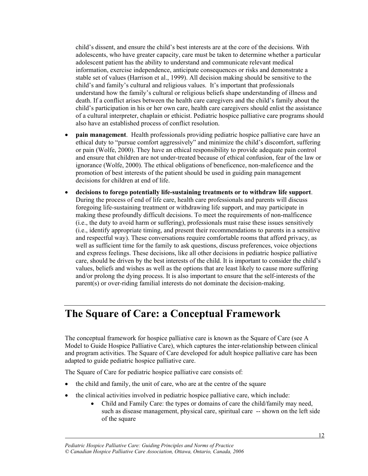child's dissent, and ensure the child's best interests are at the core of the decisions. With adolescents, who have greater capacity, care must be taken to determine whether a particular adolescent patient has the ability to understand and communicate relevant medical information, exercise independence, anticipate consequences or risks and demonstrate a stable set of values (Harrison et al., 1999). All decision making should be sensitive to the child's and family's cultural and religious values. It's important that professionals understand how the family's cultural or religious beliefs shape understanding of illness and death. If a conflict arises between the health care caregivers and the child's family about the child's participation in his or her own care, health care caregivers should enlist the assistance of a cultural interpreter, chaplain or ethicist. Pediatric hospice palliative care programs should also have an established process of conflict resolution.

- **pain management**. Health professionals providing pediatric hospice palliative care have an ethical duty to "pursue comfort aggressively" and minimize the child's discomfort, suffering or pain (Wolfe, 2000). They have an ethical responsibility to provide adequate pain control and ensure that children are not under-treated because of ethical confusion, fear of the law or ignorance (Wolfe, 2000). The ethical obligations of beneficence, non-maleficence and the promotion of best interests of the patient should be used in guiding pain management decisions for children at end of life.
- x **decisions to forego potentially life-sustaining treatments or to withdraw life support**. During the process of end of life care, health care professionals and parents will discuss foregoing life-sustaining treatment or withdrawing life support, and may participate in making these profoundly difficult decisions. To meet the requirements of non-malficence (i.e., the duty to avoid harm or suffering), professionals must raise these issues sensitively (i.e., identify appropriate timing, and present their recommendations to parents in a sensitive and respectful way). These conversations require comfortable rooms that afford privacy, as well as sufficient time for the family to ask questions, discuss preferences, voice objections and express feelings. These decisions, like all other decisions in pediatric hospice palliative care, should be driven by the best interests of the child. It is important to consider the child's values, beliefs and wishes as well as the options that are least likely to cause more suffering and/or prolong the dying process. It is also important to ensure that the self-interests of the parent(s) or over-riding familial interests do not dominate the decision-making.

### **The Square of Care: a Conceptual Framework**

The conceptual framework for hospice palliative care is known as the Square of Care (see A Model to Guide Hospice Palliative Care), which captures the inter-relationship between clinical and program activities. The Square of Care developed for adult hospice palliative care has been adapted to guide pediatric hospice palliative care.

The Square of Care for pediatric hospice palliative care consists of:

- $\bullet$  the child and family, the unit of care, who are at the centre of the square
- $\bullet$  the clinical activities involved in pediatric hospice palliative care, which include:
	- Child and Family Care: the types or domains of care the child/family may need, such as disease management, physical care, spiritual care -- shown on the left side of the square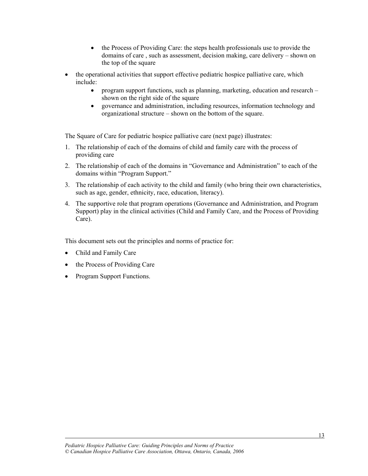- the Process of Providing Care: the steps health professionals use to provide the domains of care , such as assessment, decision making, care delivery – shown on the top of the square
- the operational activities that support effective pediatric hospice palliative care, which include:
	- program support functions, such as planning, marketing, education and research shown on the right side of the square
	- governance and administration, including resources, information technology and organizational structure – shown on the bottom of the square.

The Square of Care for pediatric hospice palliative care (next page) illustrates:

- 1. The relationship of each of the domains of child and family care with the process of providing care
- 2. The relationship of each of the domains in "Governance and Administration" to each of the domains within "Program Support."
- 3. The relationship of each activity to the child and family (who bring their own characteristics, such as age, gender, ethnicity, race, education, literacy).
- 4. The supportive role that program operations (Governance and Administration, and Program Support) play in the clinical activities (Child and Family Care, and the Process of Providing Care).

This document sets out the principles and norms of practice for:

• Child and Family Care

- the Process of Providing Care
- Program Support Functions.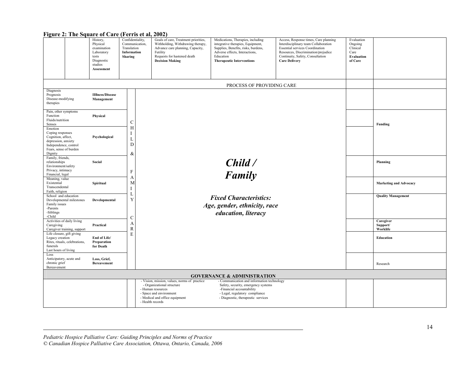| $\frac{1}{2}$                                                                                                                          | .<br>History,<br>Physical<br>examination<br>Laboratory<br>tests<br>Diagnostic<br>studies<br>Assessment | $\sim$ 0.1.10 0.0 0.19<br>Confidentiality,<br>Communication,<br>Translation<br>Information<br>Sharing | $-0.0 - 7$<br>Goals of care, Treatment priorities,<br>Withholding, Withdrawing therapy,<br>Advance care planning, Capacity,<br>Futility<br>Requests for hastened death<br><b>Decision Making</b> | Medications, Therapies, including<br>integrative therapies, Equipment,<br>Supplies, Benefits, risks, burdens,<br>Adverse effects, Interactions,<br>Education<br><b>Therapeutic Interventions</b> | Access, Response times, Care planning<br>Interdisciplinary team Collaboration<br><b>Essential services Coordination</b><br>Resources, Discrimination/prejudice<br>Continuity, Safety, Consultation<br><b>Care Delivery</b> | Evaluation<br>Ongoing<br>Clinical<br>Care<br>Evaluation<br>of Care |                                   |
|----------------------------------------------------------------------------------------------------------------------------------------|--------------------------------------------------------------------------------------------------------|-------------------------------------------------------------------------------------------------------|--------------------------------------------------------------------------------------------------------------------------------------------------------------------------------------------------|--------------------------------------------------------------------------------------------------------------------------------------------------------------------------------------------------|----------------------------------------------------------------------------------------------------------------------------------------------------------------------------------------------------------------------------|--------------------------------------------------------------------|-----------------------------------|
|                                                                                                                                        | PROCESS OF PROVIDING CARE                                                                              |                                                                                                       |                                                                                                                                                                                                  |                                                                                                                                                                                                  |                                                                                                                                                                                                                            |                                                                    |                                   |
| Diagnosis<br>Prognosis<br>Disease-modifying<br>therapies                                                                               | <b>IIllness/Disease</b><br>Management                                                                  |                                                                                                       |                                                                                                                                                                                                  |                                                                                                                                                                                                  |                                                                                                                                                                                                                            |                                                                    |                                   |
| Pain, other symptoms<br>Function<br>Fluids/nutrition<br>Senses                                                                         | Physical                                                                                               | $\mathcal{C}$<br>H                                                                                    |                                                                                                                                                                                                  |                                                                                                                                                                                                  |                                                                                                                                                                                                                            |                                                                    | Funding                           |
| Emotion<br>Coping responses<br>Cognition, affect,<br>depression, anxiety<br>Independence, control<br>Fears, sense of burden<br>Dignity | Psychological                                                                                          | I<br>T<br>D<br>&                                                                                      | Child/<br>Family                                                                                                                                                                                 |                                                                                                                                                                                                  |                                                                                                                                                                                                                            |                                                                    |                                   |
| Family, friends,<br>relationships<br>Environment/safety<br>Privacy, intimacy<br>Financial, legal                                       | Social                                                                                                 | $\mathbf F$                                                                                           |                                                                                                                                                                                                  |                                                                                                                                                                                                  |                                                                                                                                                                                                                            |                                                                    | Planning                          |
| Meaning, value<br>Existential<br>Transcendental<br>Faith, religion                                                                     | Spiritual                                                                                              | А<br>M<br>I                                                                                           |                                                                                                                                                                                                  |                                                                                                                                                                                                  |                                                                                                                                                                                                                            |                                                                    | <b>Marketing and Advocacy</b>     |
| School and education<br>Developmental milestones<br>Family issues<br>-Parents<br>-Siblings<br>-Child                                   | Developmental                                                                                          | Y<br>$\mathcal{C}$                                                                                    |                                                                                                                                                                                                  | <b>Fixed Characteristics:</b><br>Age, gender, ethnicity, race<br>education, literacy                                                                                                             |                                                                                                                                                                                                                            |                                                                    | <b>Quality Management</b>         |
| Activities of daily living<br>Caregiving<br>Caregiver training, support                                                                | Practical                                                                                              | A<br>$\mathbb{R}$                                                                                     |                                                                                                                                                                                                  |                                                                                                                                                                                                  |                                                                                                                                                                                                                            |                                                                    | Caregiver<br>Support/<br>Worklife |
| Life closure, gift giving<br>Legacy creation<br>Rites, rituals, celebrations,<br>funerals<br>Last hours of living                      | End of Life/<br>Preparation<br>for Death                                                               | E                                                                                                     |                                                                                                                                                                                                  |                                                                                                                                                                                                  |                                                                                                                                                                                                                            |                                                                    | Education                         |
| Loss<br>Anticipatory, acute and<br>chronic grief<br>Bereavement                                                                        | Loss, Grief,<br><b>Bereavement</b>                                                                     |                                                                                                       |                                                                                                                                                                                                  |                                                                                                                                                                                                  |                                                                                                                                                                                                                            |                                                                    | Research                          |
| <b>GOVERNANCE &amp; ADMINISTRATION</b>                                                                                                 |                                                                                                        |                                                                                                       |                                                                                                                                                                                                  |                                                                                                                                                                                                  |                                                                                                                                                                                                                            |                                                                    |                                   |
|                                                                                                                                        |                                                                                                        |                                                                                                       | - Vision, mission, values, norms of practice<br>- Organizational structure<br>- Human resources<br>- Space and environment<br>- Medical and office equipment<br>- Health records                 | - Communication and information technology<br>Safety, security, emergency systems<br>-Financial accountability<br>- Legal, regulatory compliance<br>- Diagnostic, therapeutic services           |                                                                                                                                                                                                                            |                                                                    |                                   |

#### **Figure 2: The Square of Care (Ferris et al, 2002)**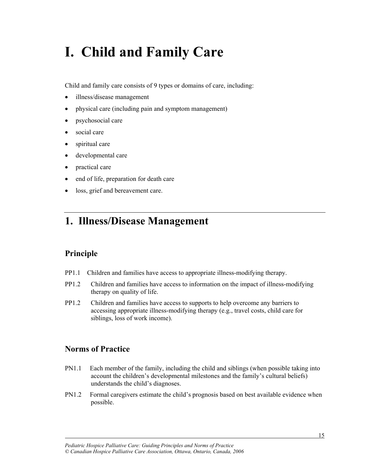## **I. Child and Family Care**

Child and family care consists of 9 types or domains of care, including:

- illness/disease management
- physical care (including pain and symptom management)
- psychosocial care
- social care
- $\bullet$  spiritual care
- developmental care
- practical care
- end of life, preparation for death care
- loss, grief and bereavement care.

### **1. Illness/Disease Management**

#### **Principle**

- PP1.1 Children and families have access to appropriate illness-modifying therapy.
- PP1.2 Children and families have access to information on the impact of illness-modifying therapy on quality of life.
- PP1.2 Children and families have access to supports to help overcome any barriers to accessing appropriate illness-modifying therapy (e.g., travel costs, child care for siblings, loss of work income).

#### **Norms of Practice**

- PN1.1 Each member of the family, including the child and siblings (when possible taking into account the children's developmental milestones and the family's cultural beliefs) understands the child's diagnoses.
- PN1.2 Formal caregivers estimate the child's prognosis based on best available evidence when possible.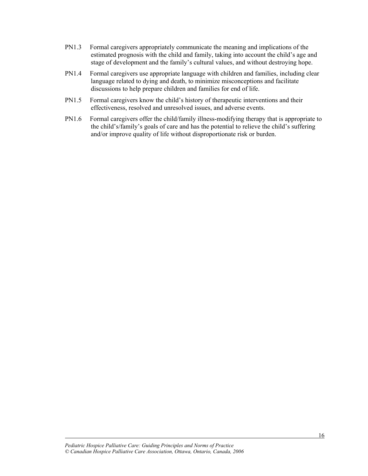- PN1.3 Formal caregivers appropriately communicate the meaning and implications of the estimated prognosis with the child and family, taking into account the child's age and stage of development and the family's cultural values, and without destroying hope.
- PN1.4 Formal caregivers use appropriate language with children and families, including clear language related to dying and death, to minimize misconceptions and facilitate discussions to help prepare children and families for end of life.
- PN1.5 Formal caregivers know the child's history of therapeutic interventions and their effectiveness, resolved and unresolved issues, and adverse events.
- PN1.6 Formal caregivers offer the child/family illness-modifying therapy that is appropriate to the child's/family's goals of care and has the potential to relieve the child's suffering and/or improve quality of life without disproportionate risk or burden.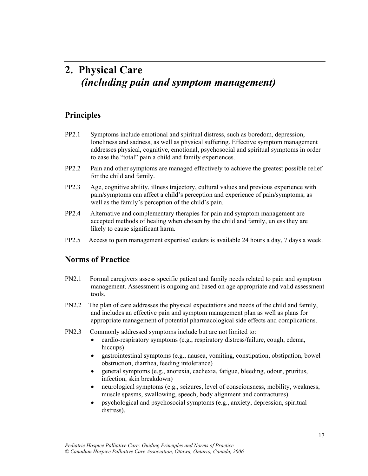### **2. Physical Care** *(including pain and symptom management)*

#### **Principles**

- PP2.1 Symptoms include emotional and spiritual distress, such as boredom, depression, loneliness and sadness, as well as physical suffering. Effective symptom management addresses physical, cognitive, emotional, psychosocial and spiritual symptoms in order to ease the "total" pain a child and family experiences.
- PP2.2 Pain and other symptoms are managed effectively to achieve the greatest possible relief for the child and family.
- PP2.3 Age, cognitive ability, illness trajectory, cultural values and previous experience with pain/symptoms can affect a child's perception and experience of pain/symptoms, as well as the family's perception of the child's pain.
- PP2.4 Alternative and complementary therapies for pain and symptom management are accepted methods of healing when chosen by the child and family, unless they are likely to cause significant harm.
- PP2.5 Access to pain management expertise/leaders is available 24 hours a day, 7 days a week.

#### **Norms of Practice**

- PN2.1 Formal caregivers assess specific patient and family needs related to pain and symptom management. Assessment is ongoing and based on age appropriate and valid assessment tools.
- PN2.2 The plan of care addresses the physical expectations and needs of the child and family, and includes an effective pain and symptom management plan as well as plans for appropriate management of potential pharmacological side effects and complications.
- PN2.3 Commonly addressed symptoms include but are not limited to:
	- cardio-respiratory symptoms (e.g., respiratory distress/failure, cough, edema, hiccups)
	- x gastrointestinal symptoms (e.g., nausea, vomiting, constipation, obstipation, bowel obstruction, diarrhea, feeding intolerance)
	- x general symptoms (e.g., anorexia, cachexia, fatigue, bleeding, odour, pruritus, infection, skin breakdown)
	- neurological symptoms (e.g., seizures, level of consciousness, mobility, weakness, muscle spasms, swallowing, speech, body alignment and contractures)
	- $\bullet$  psychological and psychosocial symptoms (e.g., anxiety, depression, spiritual distress).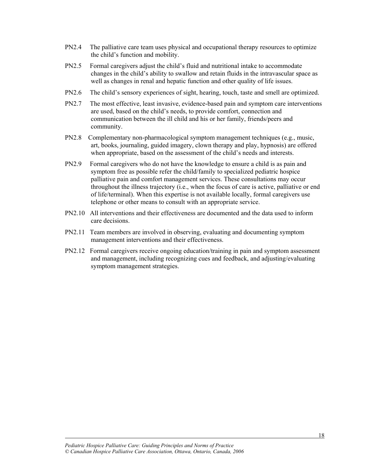- PN2.4 The palliative care team uses physical and occupational therapy resources to optimize the child's function and mobility.
- PN2.5 Formal caregivers adjust the child's fluid and nutritional intake to accommodate changes in the child's ability to swallow and retain fluids in the intravascular space as well as changes in renal and hepatic function and other quality of life issues.
- PN2.6 The child's sensory experiences of sight, hearing, touch, taste and smell are optimized.
- PN2.7 The most effective, least invasive, evidence-based pain and symptom care interventions are used, based on the child's needs, to provide comfort, connection and communication between the ill child and his or her family, friends/peers and community.
- PN2.8 Complementary non-pharmacological symptom management techniques (e.g., music, art, books, journaling, guided imagery, clown therapy and play, hypnosis) are offered when appropriate, based on the assessment of the child's needs and interests.
- PN2.9 Formal caregivers who do not have the knowledge to ensure a child is as pain and symptom free as possible refer the child/family to specialized pediatric hospice palliative pain and comfort management services. These consultations may occur throughout the illness trajectory (i.e., when the focus of care is active, palliative or end of life/terminal). When this expertise is not available locally, formal caregivers use telephone or other means to consult with an appropriate service.
- PN2.10 All interventions and their effectiveness are documented and the data used to inform care decisions.
- PN2.11 Team members are involved in observing, evaluating and documenting symptom management interventions and their effectiveness.
- PN2.12 Formal caregivers receive ongoing education/training in pain and symptom assessment and management, including recognizing cues and feedback, and adjusting/evaluating symptom management strategies.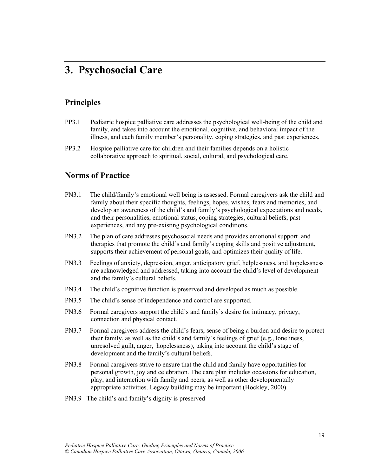### **3. Psychosocial Care**

#### **Principles**

- PP3.1 Pediatric hospice palliative care addresses the psychological well-being of the child and family, and takes into account the emotional, cognitive, and behavioral impact of the illness, and each family member's personality, coping strategies, and past experiences.
- PP3.2 Hospice palliative care for children and their families depends on a holistic collaborative approach to spiritual, social, cultural, and psychological care.

#### **Norms of Practice**

- PN3.1 The child/family's emotional well being is assessed. Formal caregivers ask the child and family about their specific thoughts, feelings, hopes, wishes, fears and memories, and develop an awareness of the child's and family's psychological expectations and needs, and their personalities, emotional status, coping strategies, cultural beliefs, past experiences, and any pre-existing psychological conditions.
- PN3.2 The plan of care addresses psychosocial needs and provides emotional support and therapies that promote the child's and family's coping skills and positive adjustment, supports their achievement of personal goals, and optimizes their quality of life.
- PN3.3 Feelings of anxiety, depression, anger, anticipatory grief, helplessness, and hopelessness are acknowledged and addressed, taking into account the child's level of development and the family's cultural beliefs.
- PN3.4 The child's cognitive function is preserved and developed as much as possible.
- PN3.5 The child's sense of independence and control are supported.
- PN3.6 Formal caregivers support the child's and family's desire for intimacy, privacy, connection and physical contact.
- PN3.7 Formal caregivers address the child's fears, sense of being a burden and desire to protect their family, as well as the child's and family's feelings of grief (e.g., loneliness, unresolved guilt, anger, hopelessness), taking into account the child's stage of development and the family's cultural beliefs.
- PN3.8 Formal caregivers strive to ensure that the child and family have opportunities for personal growth, joy and celebration. The care plan includes occasions for education, play, and interaction with family and peers, as well as other developmentally appropriate activities. Legacy building may be important (Hockley, 2000).
- PN3.9 The child's and family's dignity is preserved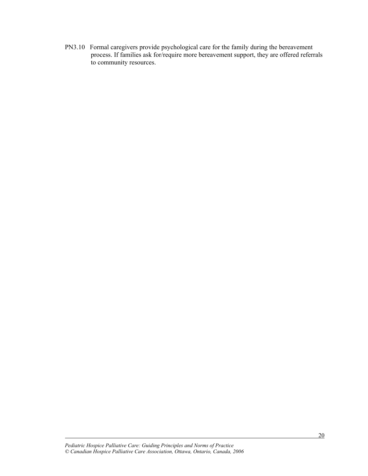PN3.10 Formal caregivers provide psychological care for the family during the bereavement process. If families ask for/require more bereavement support, they are offered referrals to community resources.

*Pediatric Hospice Palliative Care: Guiding Principles and Norms of Practice © Canadian Hospice Palliative Care Association, Ottawa, Ontario, Canada, 2006*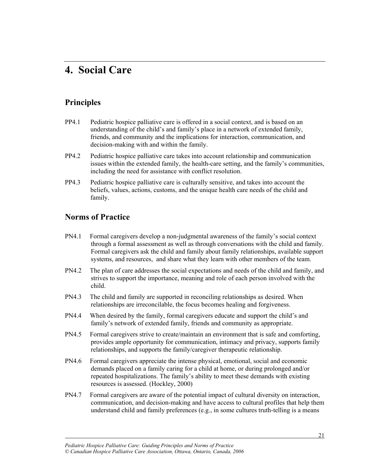### **4. Social Care**

#### **Principles**

- PP4.1 Pediatric hospice palliative care is offered in a social context, and is based on an understanding of the child's and family's place in a network of extended family, friends, and community and the implications for interaction, communication, and decision-making with and within the family.
- PP4.2 Pediatric hospice palliative care takes into account relationship and communication issues within the extended family, the health-care setting, and the family's communities, including the need for assistance with conflict resolution.
- PP4.3 Pediatric hospice palliative care is culturally sensitive, and takes into account the beliefs, values, actions, customs, and the unique health care needs of the child and family.

#### **Norms of Practice**

- PN4.1 Formal caregivers develop a non-judgmental awareness of the family's social context through a formal assessment as well as through conversations with the child and family. Formal caregivers ask the child and family about family relationships, available support systems, and resources, and share what they learn with other members of the team.
- PN4.2 The plan of care addresses the social expectations and needs of the child and family, and strives to support the importance, meaning and role of each person involved with the child.
- PN4.3 The child and family are supported in reconciling relationships as desired. When relationships are irreconcilable, the focus becomes healing and forgiveness.
- PN4.4 When desired by the family, formal caregivers educate and support the child's and family's network of extended family, friends and community as appropriate.
- PN4.5 Formal caregivers strive to create/maintain an environment that is safe and comforting, provides ample opportunity for communication, intimacy and privacy, supports family relationships, and supports the family/caregiver therapeutic relationship.
- PN4.6 Formal caregivers appreciate the intense physical, emotional, social and economic demands placed on a family caring for a child at home, or during prolonged and/or repeated hospitalizations. The family's ability to meet these demands with existing resources is assessed. (Hockley, 2000)
- PN4.7 Formal caregivers are aware of the potential impact of cultural diversity on interaction, communication, and decision-making and have access to cultural profiles that help them understand child and family preferences  $(e.g., in some cultures truth-telling is a means$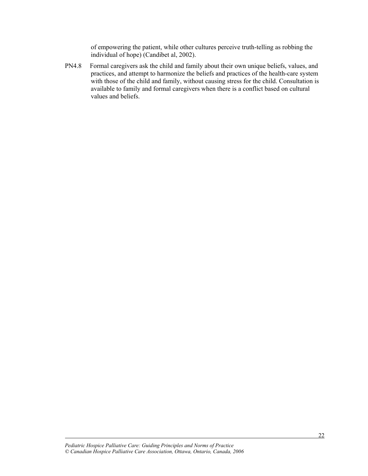of empowering the patient, while other cultures perceive truth-telling as robbing the individual of hope) (Candibet al, 2002).

PN4.8 Formal caregivers ask the child and family about their own unique beliefs, values, and practices, and attempt to harmonize the beliefs and practices of the health-care system with those of the child and family, without causing stress for the child. Consultation is available to family and formal caregivers when there is a conflict based on cultural values and beliefs.

*Pediatric Hospice Palliative Care: Guiding Principles and Norms of Practice © Canadian Hospice Palliative Care Association, Ottawa, Ontario, Canada, 2006*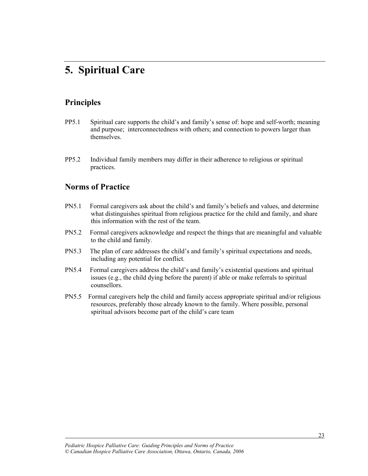### **5. Spiritual Care**

#### **Principles**

- PP5.1 Spiritual care supports the child's and family's sense of: hope and self-worth; meaning and purpose; interconnectedness with others; and connection to powers larger than themselves.
- PP5.2 Individual family members may differ in their adherence to religious or spiritual practices.

#### **Norms of Practice**

- PN5.1 Formal caregivers ask about the child's and family's beliefs and values, and determine what distinguishes spiritual from religious practice for the child and family, and share this information with the rest of the team.
- PN5.2 Formal caregivers acknowledge and respect the things that are meaningful and valuable to the child and family.
- PN5.3 The plan of care addresses the child's and family's spiritual expectations and needs, including any potential for conflict.
- PN5.4 Formal caregivers address the child's and family's existential questions and spiritual issues (e.g., the child dying before the parent) if able or make referrals to spiritual counsellors.
- PN5.5 Formal caregivers help the child and family access appropriate spiritual and/or religious resources, preferably those already known to the family. Where possible, personal spiritual advisors become part of the child's care team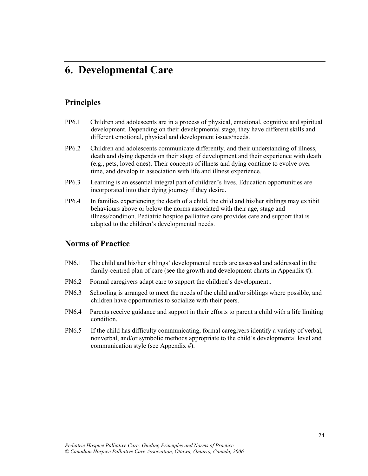### **6. Developmental Care**

#### **Principles**

- PP6.1 Children and adolescents are in a process of physical, emotional, cognitive and spiritual development. Depending on their developmental stage, they have different skills and different emotional, physical and development issues/needs.
- PP6.2 Children and adolescents communicate differently, and their understanding of illness, death and dying depends on their stage of development and their experience with death (e.g., pets, loved ones). Their concepts of illness and dying continue to evolve over time, and develop in association with life and illness experience.
- PP6.3 Learning is an essential integral part of children's lives. Education opportunities are incorporated into their dying journey if they desire.
- PP6.4 In families experiencing the death of a child, the child and his/her siblings may exhibit behaviours above or below the norms associated with their age, stage and illness/condition. Pediatric hospice palliative care provides care and support that is adapted to the children's developmental needs.

#### **Norms of Practice**

- PN6.1 The child and his/her siblings' developmental needs are assessed and addressed in the family-centred plan of care (see the growth and development charts in Appendix #).
- PN6.2 Formal caregivers adapt care to support the children's development..
- PN6.3 Schooling is arranged to meet the needs of the child and/or siblings where possible, and children have opportunities to socialize with their peers.
- PN6.4 Parents receive guidance and support in their efforts to parent a child with a life limiting condition.
- PN6.5 If the child has difficulty communicating, formal caregivers identify a variety of verbal, nonverbal, and/or symbolic methods appropriate to the child's developmental level and communication style (see Appendix #).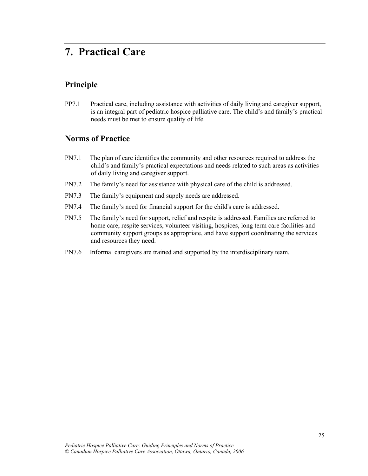### **7. Practical Care**

#### **Principle**

l

PP7.1 Practical care, including assistance with activities of daily living and caregiver support, is an integral part of pediatric hospice palliative care. The child's and family's practical needs must be met to ensure quality of life.

- PN7.1 The plan of care identifies the community and other resources required to address the child's and family's practical expectations and needs related to such areas as activities of daily living and caregiver support.
- PN7.2 The family's need for assistance with physical care of the child is addressed.
- PN7.3 The family's equipment and supply needs are addressed.
- PN7.4 The family's need for financial support for the child's care is addressed.
- PN7.5 The family's need for support, relief and respite is addressed. Families are referred to home care, respite services, volunteer visiting, hospices, long term care facilities and community support groups as appropriate, and have support coordinating the services and resources they need.
- PN7.6 Informal caregivers are trained and supported by the interdisciplinary team.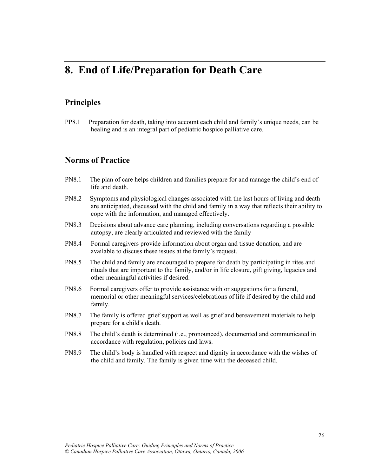### **8. End of Life/Preparation for Death Care**

#### **Principles**

l

PP8.1 Preparation for death, taking into account each child and family's unique needs, can be healing and is an integral part of pediatric hospice palliative care.

- PN8.1 The plan of care helps children and families prepare for and manage the child's end of life and death
- PN8.2 Symptoms and physiological changes associated with the last hours of living and death are anticipated, discussed with the child and family in a way that reflects their ability to cope with the information, and managed effectively.
- PN8.3 Decisions about advance care planning, including conversations regarding a possible autopsy, are clearly articulated and reviewed with the family
- PN8.4 Formal caregivers provide information about organ and tissue donation, and are available to discuss these issues at the family's request.
- PN8.5 The child and family are encouraged to prepare for death by participating in rites and rituals that are important to the family, and/or in life closure, gift giving, legacies and other meaningful activities if desired.
- PN8.6 Formal caregivers offer to provide assistance with or suggestions for a funeral, memorial or other meaningful services/celebrations of life if desired by the child and family.
- PN8.7 The family is offered grief support as well as grief and bereavement materials to help prepare for a child's death.
- PN8.8 The child's death is determined (i.e., pronounced), documented and communicated in accordance with regulation, policies and laws.
- PN8.9 The child's body is handled with respect and dignity in accordance with the wishes of the child and family. The family is given time with the deceased child.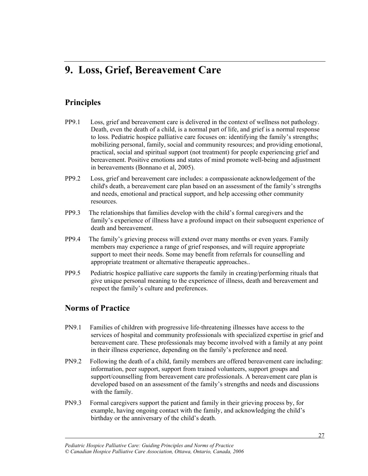### **9. Loss, Grief, Bereavement Care**

#### **Principles**

- PP9.1 Loss, grief and bereavement care is delivered in the context of wellness not pathology. Death, even the death of a child, is a normal part of life, and grief is a normal response to loss. Pediatric hospice palliative care focuses on: identifying the family's strengths; mobilizing personal, family, social and community resources; and providing emotional, practical, social and spiritual support (not treatment) for people experiencing grief and bereavement. Positive emotions and states of mind promote well-being and adjustment in bereavements (Bonnano et al, 2005).
- PP9.2 Loss, grief and bereavement care includes: a compassionate acknowledgement of the child's death, a bereavement care plan based on an assessment of the family's strengths and needs, emotional and practical support, and help accessing other community resources.
- PP9.3 The relationships that families develop with the child's formal caregivers and the family's experience of illness have a profound impact on their subsequent experience of death and bereavement.
- PP9.4 The family's grieving process will extend over many months or even years. Family members may experience a range of grief responses, and will require appropriate support to meet their needs. Some may benefit from referrals for counselling and appropriate treatment or alternative therapeutic approaches..
- PP9.5 Pediatric hospice palliative care supports the family in creating/performing rituals that give unique personal meaning to the experience of illness, death and bereavement and respect the family's culture and preferences.

#### **Norms of Practice**

- PN9.1 Families of children with progressive life-threatening illnesses have access to the services of hospital and community professionals with specialized expertise in grief and bereavement care. These professionals may become involved with a family at any point in their illness experience, depending on the family's preference and need.
- PN9.2 Following the death of a child, family members are offered bereavement care including: information, peer support, support from trained volunteers, support groups and support/counselling from bereavement care professionals. A bereavement care plan is developed based on an assessment of the family's strengths and needs and discussions with the family.
- PN9.3 Formal caregivers support the patient and family in their grieving process by, for example, having ongoing contact with the family, and acknowledging the child's birthday or the anniversary of the child's death.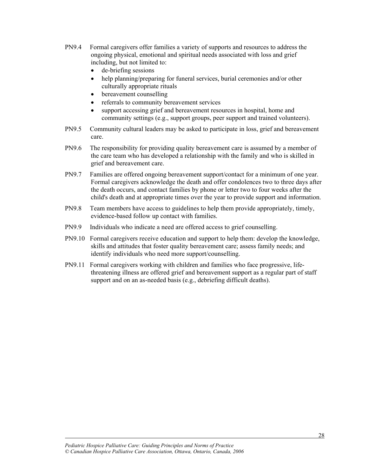- PN9.4 Formal caregivers offer families a variety of supports and resources to address the ongoing physical, emotional and spiritual needs associated with loss and grief including, but not limited to:
	- $\bullet$  de-briefing sessions
	- help planning/preparing for funeral services, burial ceremonies and/or other culturally appropriate rituals
	- bereavement counselling
	- referrals to community bereavement services
	- support accessing grief and bereavement resources in hospital, home and community settings (e.g., support groups, peer support and trained volunteers).
- PN9.5 Community cultural leaders may be asked to participate in loss, grief and bereavement care.
- PN9.6 The responsibility for providing quality bereavement care is assumed by a member of the care team who has developed a relationship with the family and who is skilled in grief and bereavement care.
- PN9.7 Families are offered ongoing bereavement support/contact for a minimum of one year. Formal caregivers acknowledge the death and offer condolences two to three days after the death occurs, and contact families by phone or letter two to four weeks after the child's death and at appropriate times over the year to provide support and information.
- PN9.8 Team members have access to guidelines to help them provide appropriately, timely, evidence-based follow up contact with families.
- PN9.9 Individuals who indicate a need are offered access to grief counselling.
- PN9.10 Formal caregivers receive education and support to help them: develop the knowledge, skills and attitudes that foster quality bereavement care; assess family needs; and identify individuals who need more support/counselling.
- PN9.11 Formal caregivers working with children and families who face progressive, lifethreatening illness are offered grief and bereavement support as a regular part of staff support and on an as-needed basis (e.g., debriefing difficult deaths).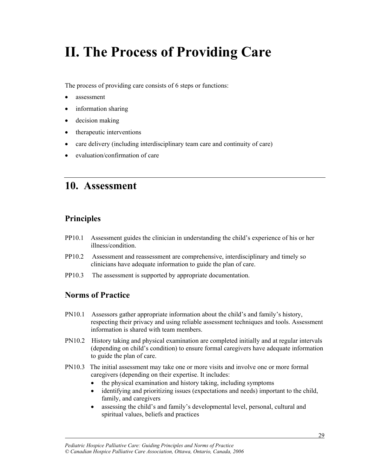## **II. The Process of Providing Care**

The process of providing care consists of 6 steps or functions:

- x assessment
- $\bullet$  information sharing
- $\bullet$  decision making
- therapeutic interventions
- $\bullet$  care delivery (including interdisciplinary team care and continuity of care)
- $\bullet$  evaluation/confirmation of care

### **10. Assessment**

#### **Principles**

- PP10.1 Assessment guides the clinician in understanding the child's experience of his or her illness/condition.
- PP10.2 Assessment and reassessment are comprehensive, interdisciplinary and timely so clinicians have adequate information to guide the plan of care.
- PP10.3 The assessment is supported by appropriate documentation.

#### **Norms of Practice**

- PN10.1 Assessors gather appropriate information about the child's and family's history, respecting their privacy and using reliable assessment techniques and tools. Assessment information is shared with team members.
- PN10.2 History taking and physical examination are completed initially and at regular intervals (depending on child's condition) to ensure formal caregivers have adequate information to guide the plan of care.
- PN10.3 The initial assessment may take one or more visits and involve one or more formal caregivers (depending on their expertise. It includes:
	- the physical examination and history taking, including symptoms
	- $\bullet$  identifying and prioritizing issues (expectations and needs) important to the child, family, and caregivers
	- assessing the child's and family's developmental level, personal, cultural and spiritual values, beliefs and practices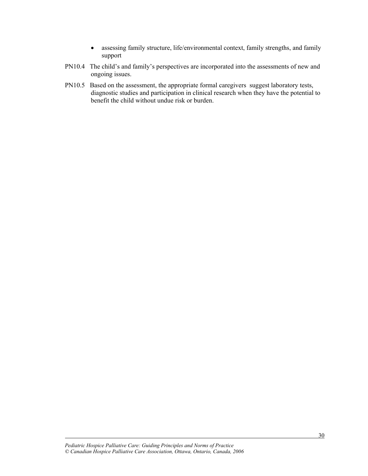- assessing family structure, life/environmental context, family strengths, and family support
- PN10.4 The child's and family's perspectives are incorporated into the assessments of new and ongoing issues.
- PN10.5 Based on the assessment, the appropriate formal caregivers suggest laboratory tests, diagnostic studies and participation in clinical research when they have the potential to benefit the child without undue risk or burden.

*Pediatric Hospice Palliative Care: Guiding Principles and Norms of Practice © Canadian Hospice Palliative Care Association, Ottawa, Ontario, Canada, 2006*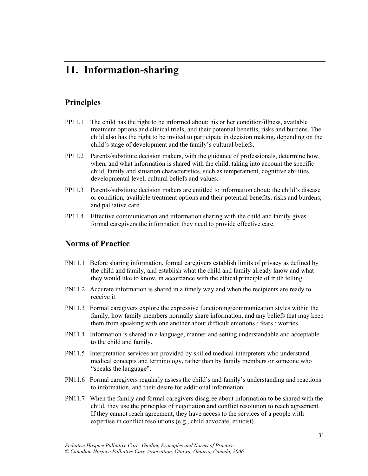### **11. Information-sharing**

#### **Principles**

- PP11.1 The child has the right to be informed about: his or her condition/illness, available treatment options and clinical trials, and their potential benefits, risks and burdens. The child also has the right to be invited to participate in decision making, depending on the child's stage of development and the family's cultural beliefs.
- PP11.2 Parents/substitute decision makers, with the guidance of professionals, determine how, when, and what information is shared with the child, taking into account the specific child, family and situation characteristics, such as temperament, cognitive abilities, developmental level, cultural beliefs and values.
- PP11.3 Parents/substitute decision makers are entitled to information about: the child's disease or condition; available treatment options and their potential benefits, risks and burdens; and palliative care.
- PP11.4 Effective communication and information sharing with the child and family gives formal caregivers the information they need to provide effective care.

#### **Norms of Practice**

- PN11.1 Before sharing information, formal caregivers establish limits of privacy as defined by the child and family, and establish what the child and family already know and what they would like to know, in accordance with the ethical principle of truth telling.
- PN11.2 Accurate information is shared in a timely way and when the recipients are ready to receive it.
- PN11.3 Formal caregivers explore the expressive functioning/communication styles within the family, how family members normally share information, and any beliefs that may keep them from speaking with one another about difficult emotions / fears / worries.
- PN11.4 Information is shared in a language, manner and setting understandable and acceptable to the child and family.
- PN11.5 Interpretation services are provided by skilled medical interpreters who understand medical concepts and terminology, rather than by family members or someone who "speaks the language".
- PN11.6 Formal caregivers regularly assess the child's and family's understanding and reactions to information, and their desire for additional information.
- PN11.7 When the family and formal caregivers disagree about information to be shared with the child, they use the principles of negotiation and conflict resolution to reach agreement. If they cannot reach agreement, they have access to the services of a people with expertise in conflict resolutions (e.g., child advocate, ethicist).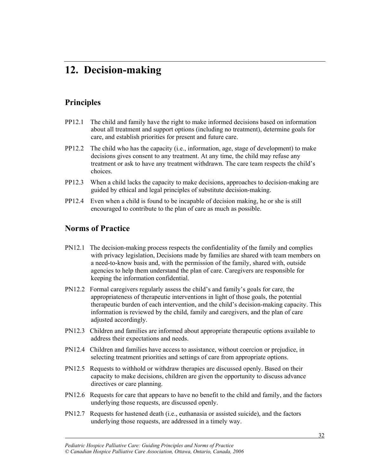### **12. Decision-making**

#### **Principles**

- PP12.1 The child and family have the right to make informed decisions based on information about all treatment and support options (including no treatment), determine goals for care, and establish priorities for present and future care.
- PP12.2 The child who has the capacity (i.e., information, age, stage of development) to make decisions gives consent to any treatment. At any time, the child may refuse any treatment or ask to have any treatment withdrawn. The care team respects the child's choices.
- PP12.3 When a child lacks the capacity to make decisions, approaches to decision-making are guided by ethical and legal principles of substitute decision-making.
- PP12.4 Even when a child is found to be incapable of decision making, he or she is still encouraged to contribute to the plan of care as much as possible.

#### **Norms of Practice**

- PN12.1 The decision-making process respects the confidentiality of the family and complies with privacy legislation, Decisions made by families are shared with team members on a need-to-know basis and, with the permission of the family, shared with, outside agencies to help them understand the plan of care. Caregivers are responsible for keeping the information confidential.
- PN12.2 Formal caregivers regularly assess the child's and family's goals for care, the appropriateness of therapeutic interventions in light of those goals, the potential therapeutic burden of each intervention, and the child's decision-making capacity. This information is reviewed by the child, family and caregivers, and the plan of care adjusted accordingly.
- PN12.3 Children and families are informed about appropriate therapeutic options available to address their expectations and needs.
- PN12.4 Children and families have access to assistance, without coercion or prejudice, in selecting treatment priorities and settings of care from appropriate options.
- PN12.5 Requests to withhold or withdraw therapies are discussed openly. Based on their capacity to make decisions, children are given the opportunity to discuss advance directives or care planning.
- PN12.6 Requests for care that appears to have no benefit to the child and family, and the factors underlying those requests, are discussed openly.
- PN12.7 Requests for hastened death (i.e., euthanasia or assisted suicide), and the factors underlying those requests, are addressed in a timely way.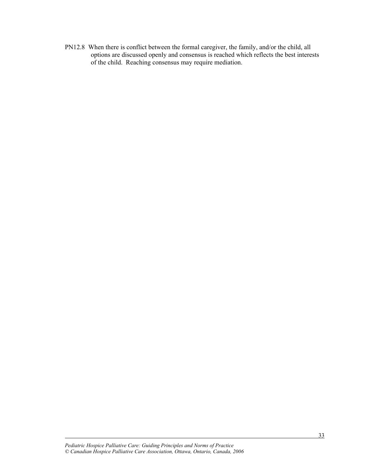PN12.8 When there is conflict between the formal caregiver, the family, and/or the child, all options are discussed openly and consensus is reached which reflects the best interests of the child. Reaching consensus may require mediation.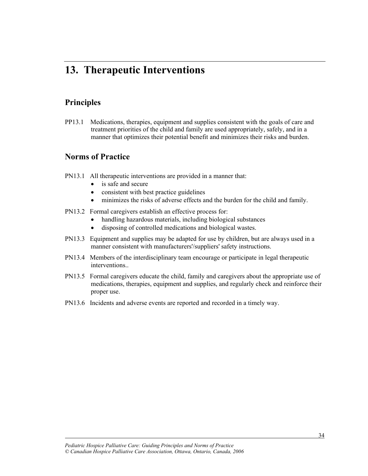### **13. Therapeutic Interventions**

#### **Principles**

l

PP13.1 Medications, therapies, equipment and supplies consistent with the goals of care and treatment priorities of the child and family are used appropriately, safely, and in a manner that optimizes their potential benefit and minimizes their risks and burden.

- PN13.1 All therapeutic interventions are provided in a manner that:
	- is safe and secure
	- consistent with best practice guidelines
	- minimizes the risks of adverse effects and the burden for the child and family.
- PN13.2 Formal caregivers establish an effective process for:
	- handling hazardous materials, including biological substances
	- disposing of controlled medications and biological wastes.
- PN13.3 Equipment and supplies may be adapted for use by children, but are always used in a manner consistent with manufacturers'/suppliers' safety instructions.
- PN13.4 Members of the interdisciplinary team encourage or participate in legal therapeutic interventions..
- PN13.5 Formal caregivers educate the child, family and caregivers about the appropriate use of medications, therapies, equipment and supplies, and regularly check and reinforce their proper use.
- PN13.6 Incidents and adverse events are reported and recorded in a timely way.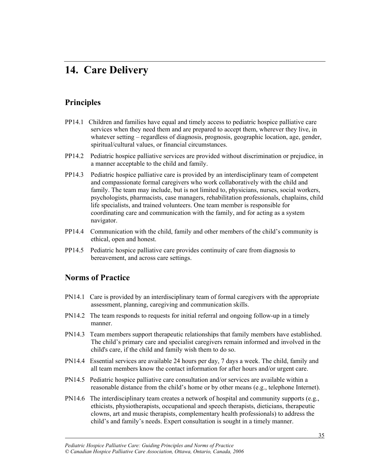### **14. Care Delivery**

#### **Principles**

- PP14.1 Children and families have equal and timely access to pediatric hospice palliative care services when they need them and are prepared to accept them, wherever they live, in whatever setting – regardless of diagnosis, prognosis, geographic location, age, gender, spiritual/cultural values, or financial circumstances.
- PP14.2 Pediatric hospice palliative services are provided without discrimination or prejudice, in a manner acceptable to the child and family.
- PP14.3 Pediatric hospice palliative care is provided by an interdisciplinary team of competent and compassionate formal caregivers who work collaboratively with the child and family. The team may include, but is not limited to, physicians, nurses, social workers, psychologists, pharmacists, case managers, rehabilitation professionals, chaplains, child life specialists, and trained volunteers. One team member is responsible for coordinating care and communication with the family, and for acting as a system navigator.
- PP14.4 Communication with the child, family and other members of the child's community is ethical, open and honest.
- PP14.5 Pediatric hospice palliative care provides continuity of care from diagnosis to bereavement, and across care settings.

#### **Norms of Practice**

- PN14.1 Care is provided by an interdisciplinary team of formal caregivers with the appropriate assessment, planning, caregiving and communication skills.
- PN14.2 The team responds to requests for initial referral and ongoing follow-up in a timely manner.
- PN14.3 Team members support therapeutic relationships that family members have established. The child's primary care and specialist caregivers remain informed and involved in the child's care, if the child and family wish them to do so.
- PN14.4 Essential services are available 24 hours per day, 7 days a week. The child, family and all team members know the contact information for after hours and/or urgent care.
- PN14.5 Pediatric hospice palliative care consultation and/or services are available within a reasonable distance from the child's home or by other means (e.g., telephone Internet).
- PN14.6 The interdisciplinary team creates a network of hospital and community supports (e.g., ethicists, physiotherapists, occupational and speech therapists, dieticians, therapeutic clowns, art and music therapists, complementary health professionals) to address the child's and family's needs. Expert consultation is sought in a timely manner.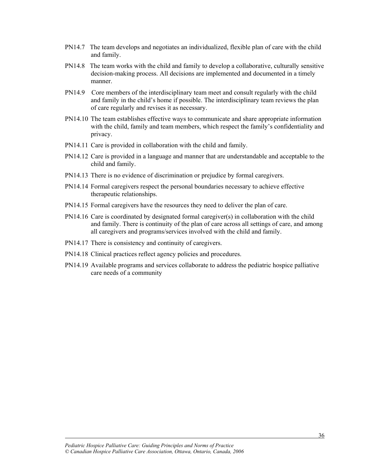- PN14.7 The team develops and negotiates an individualized, flexible plan of care with the child and family.
- PN14.8 The team works with the child and family to develop a collaborative, culturally sensitive decision-making process. All decisions are implemented and documented in a timely manner.
- PN14.9 Core members of the interdisciplinary team meet and consult regularly with the child and family in the child's home if possible. The interdisciplinary team reviews the plan of care regularly and revises it as necessary.
- PN14.10 The team establishes effective ways to communicate and share appropriate information with the child, family and team members, which respect the family's confidentiality and privacy.
- PN14.11 Care is provided in collaboration with the child and family.
- PN14.12 Care is provided in a language and manner that are understandable and acceptable to the child and family.
- PN14.13 There is no evidence of discrimination or prejudice by formal caregivers.
- PN14.14 Formal caregivers respect the personal boundaries necessary to achieve effective therapeutic relationships.
- PN14.15 Formal caregivers have the resources they need to deliver the plan of care.
- PN14.16 Care is coordinated by designated formal caregiver(s) in collaboration with the child and family. There is continuity of the plan of care across all settings of care, and among all caregivers and programs/services involved with the child and family.
- PN14.17 There is consistency and continuity of caregivers.
- PN14.18 Clinical practices reflect agency policies and procedures.
- PN14.19 Available programs and services collaborate to address the pediatric hospice palliative care needs of a community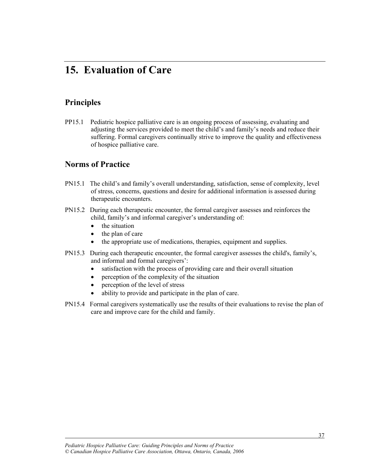### **15. Evaluation of Care**

#### **Principles**

l

PP15.1 Pediatric hospice palliative care is an ongoing process of assessing, evaluating and adjusting the services provided to meet the child's and family's needs and reduce their suffering. Formal caregivers continually strive to improve the quality and effectiveness of hospice palliative care.

- PN15.1 The child's and family's overall understanding, satisfaction, sense of complexity, level of stress, concerns, questions and desire for additional information is assessed during therapeutic encounters.
- PN15.2 During each therapeutic encounter, the formal caregiver assesses and reinforces the child, family's and informal caregiver's understanding of:
	- $\bullet$  the situation
	- $\bullet$  the plan of care
	- the appropriate use of medications, therapies, equipment and supplies.
- PN15.3 During each therapeutic encounter, the formal caregiver assesses the child's, family's, and informal and formal caregivers':
	- $\bullet$  satisfaction with the process of providing care and their overall situation
	- $\bullet$  perception of the complexity of the situation
	- $\bullet$  perception of the level of stress
	- ability to provide and participate in the plan of care.
- PN15.4 Formal caregivers systematically use the results of their evaluations to revise the plan of care and improve care for the child and family.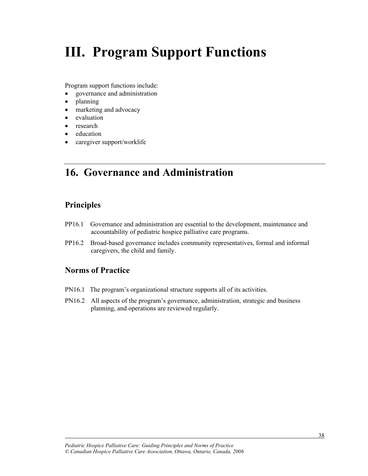## **III. Program Support Functions**

Program support functions include:

- governance and administration
- $\bullet$  planning
- marketing and advocacy
- evaluation
- $\bullet$  research
- education
- $\bullet$  caregiver support/worklife

### **16. Governance and Administration**

#### **Principles**

l

- PP16.1 Governance and administration are essential to the development, maintenance and accountability of pediatric hospice palliative care programs.
- PP16.2 Broad-based governance includes community representatives, formal and informal caregivers, the child and family.

- PN16.1 The program's organizational structure supports all of its activities.
- PN16.2 All aspects of the program's governance, administration, strategic and business planning, and operations are reviewed regularly.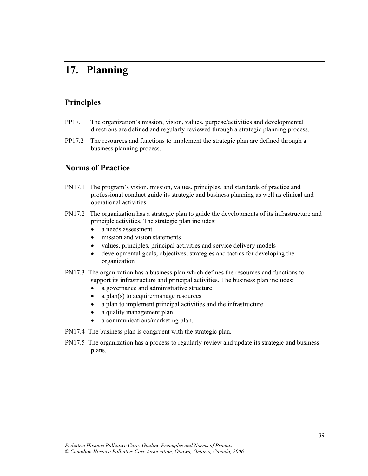### **17. Planning**

#### **Principles**

l

- PP17.1 The organization's mission, vision, values, purpose/activities and developmental directions are defined and regularly reviewed through a strategic planning process.
- PP17.2 The resources and functions to implement the strategic plan are defined through a business planning process.

- PN17.1 The program's vision, mission, values, principles, and standards of practice and professional conduct guide its strategic and business planning as well as clinical and operational activities.
- PN17.2 The organization has a strategic plan to guide the developments of its infrastructure and principle activities. The strategic plan includes:
	- a needs assessment
	- mission and vision statements
	- values, principles, principal activities and service delivery models
	- developmental goals, objectives, strategies and tactics for developing the organization
- PN17.3 The organization has a business plan which defines the resources and functions to support its infrastructure and principal activities. The business plan includes:
	- a governance and administrative structure
	- a plan(s) to acquire/manage resources
	- a plan to implement principal activities and the infrastructure
	- a quality management plan
	- a communications/marketing plan.
- PN17.4 The business plan is congruent with the strategic plan.
- PN17.5 The organization has a process to regularly review and update its strategic and business plans.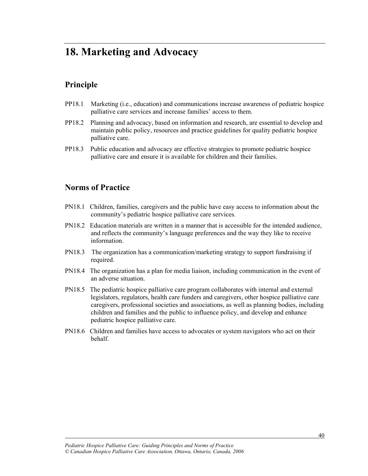### **18. Marketing and Advocacy**

#### **Principle**

- PP18.1 Marketing (i.e., education) and communications increase awareness of pediatric hospice palliative care services and increase families' access to them.
- PP18.2 Planning and advocacy, based on information and research, are essential to develop and maintain public policy, resources and practice guidelines for quality pediatric hospice palliative care.
- PP18.3 Public education and advocacy are effective strategies to promote pediatric hospice palliative care and ensure it is available for children and their families.

#### **Norms of Practice**

- PN18.1 Children, families, caregivers and the public have easy access to information about the community's pediatric hospice palliative care services.
- PN18.2 Education materials are written in a manner that is accessible for the intended audience, and reflects the community's language preferences and the way they like to receive information.
- PN18.3 The organization has a communication/marketing strategy to support fundraising if required.
- PN18.4 The organization has a plan for media liaison, including communication in the event of an adverse situation.
- PN18.5 The pediatric hospice palliative care program collaborates with internal and external legislators, regulators, health care funders and caregivers, other hospice palliative care caregivers, professional societies and associations, as well as planning bodies, including children and families and the public to influence policy, and develop and enhance pediatric hospice palliative care.
- PN18.6 Children and families have access to advocates or system navigators who act on their behalf.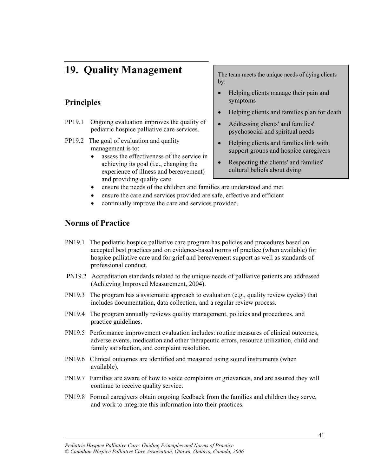### **19. Quality Management**

#### **Principles**

- PP19.1 Ongoing evaluation improves the quality of pediatric hospice palliative care services.
- PP19.2 The goal of evaluation and quality management is to:
	- x assess the effectiveness of the service in achieving its goal (i.e., changing the experience of illness and bereavement) and providing quality care

The team meets the unique needs of dying clients by:

- Helping clients manage their pain and symptoms
- Helping clients and families plan for death
- Addressing clients' and families' psychosocial and spiritual needs
- Helping clients and families link with support groups and hospice caregivers
- Respecting the clients' and families' cultural beliefs about dying
- ensure the needs of the children and families are understood and met
- ensure the care and services provided are safe, effective and efficient
- continually improve the care and services provided.

#### **Norms of Practice**

- PN19.1 The pediatric hospice palliative care program has policies and procedures based on accepted best practices and on evidence-based norms of practice (when available) for hospice palliative care and for grief and bereavement support as well as standards of professional conduct.
- PN19.2 Accreditation standards related to the unique needs of palliative patients are addressed (Achieving Improved Measurement, 2004).
- PN19.3 The program has a systematic approach to evaluation (e.g., quality review cycles) that includes documentation, data collection, and a regular review process.
- PN19.4 The program annually reviews quality management, policies and procedures, and practice guidelines.
- PN19.5 Performance improvement evaluation includes: routine measures of clinical outcomes, adverse events, medication and other therapeutic errors, resource utilization, child and family satisfaction, and complaint resolution.
- PN19.6 Clinical outcomes are identified and measured using sound instruments (when available).
- PN19.7 Families are aware of how to voice complaints or grievances, and are assured they will continue to receive quality service.
- PN19.8 Formal caregivers obtain ongoing feedback from the families and children they serve, and work to integrate this information into their practices.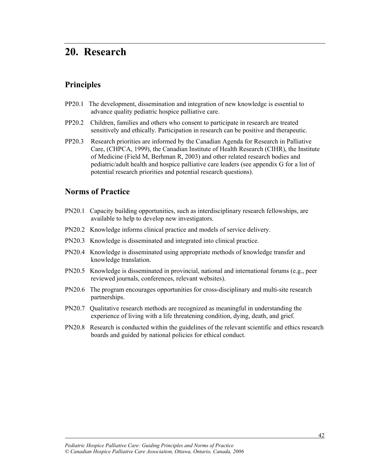### **20. Research**

#### **Principles**

- PP20.1 The development, dissemination and integration of new knowledge is essential to advance quality pediatric hospice palliative care.
- PP20.2 Children, families and others who consent to participate in research are treated sensitively and ethically. Participation in research can be positive and therapeutic.
- PP20.3 Research priorities are informed by the Canadian Agenda for Research in Palliative Care, (CHPCA, 1999), the Canadian Institute of Health Research (CIHR), the Institute of Medicine (Field M, Berhman R, 2003) and other related research bodies and pediatric/adult health and hospice palliative care leaders (see appendix G for a list of potential research priorities and potential research questions).

#### **Norms of Practice**

- PN20.1 Capacity building opportunities, such as interdisciplinary research fellowships, are available to help to develop new investigators.
- PN20.2 Knowledge informs clinical practice and models of service delivery.
- PN20.3 Knowledge is disseminated and integrated into clinical practice.
- PN20.4 Knowledge is disseminated using appropriate methods of knowledge transfer and knowledge translation.
- PN20.5 Knowledge is disseminated in provincial, national and international forums (e.g., peer reviewed journals, conferences, relevant websites).
- PN20.6 The program encourages opportunities for cross-disciplinary and multi-site research partnerships.
- PN20.7 Qualitative research methods are recognized as meaningful in understanding the experience of living with a life threatening condition, dying, death, and grief.
- PN20.8 Research is conducted within the guidelines of the relevant scientific and ethics research boards and guided by national policies for ethical conduct.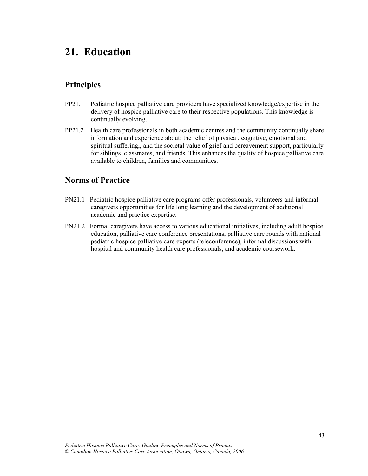### **21. Education**

#### **Principles**

- PP21.1 Pediatric hospice palliative care providers have specialized knowledge/expertise in the delivery of hospice palliative care to their respective populations. This knowledge is continually evolving.
- PP21.2 Health care professionals in both academic centres and the community continually share information and experience about: the relief of physical, cognitive, emotional and spiritual suffering;, and the societal value of grief and bereavement support, particularly for siblings, classmates, and friends. This enhances the quality of hospice palliative care available to children, families and communities.

#### **Norms of Practice**

- PN21.1 Pediatric hospice palliative care programs offer professionals, volunteers and informal caregivers opportunities for life long learning and the development of additional academic and practice expertise.
- PN21.2 Formal caregivers have access to various educational initiatives, including adult hospice education, palliative care conference presentations, palliative care rounds with national pediatric hospice palliative care experts (teleconference), informal discussions with hospital and community health care professionals, and academic coursework.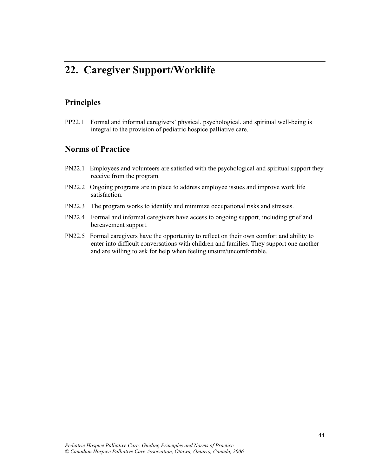### **22. Caregiver Support/Worklife**

#### **Principles**

l

PP22.1 Formal and informal caregivers' physical, psychological, and spiritual well-being is integral to the provision of pediatric hospice palliative care.

- PN22.1 Employees and volunteers are satisfied with the psychological and spiritual support they receive from the program.
- PN22.2 Ongoing programs are in place to address employee issues and improve work life satisfaction.
- PN22.3 The program works to identify and minimize occupational risks and stresses.
- PN22.4 Formal and informal caregivers have access to ongoing support, including grief and bereavement support.
- PN22.5 Formal caregivers have the opportunity to reflect on their own comfort and ability to enter into difficult conversations with children and families. They support one another and are willing to ask for help when feeling unsure/uncomfortable.

*Pediatric Hospice Palliative Care: Guiding Principles and Norms of Practice © Canadian Hospice Palliative Care Association, Ottawa, Ontario, Canada, 2006*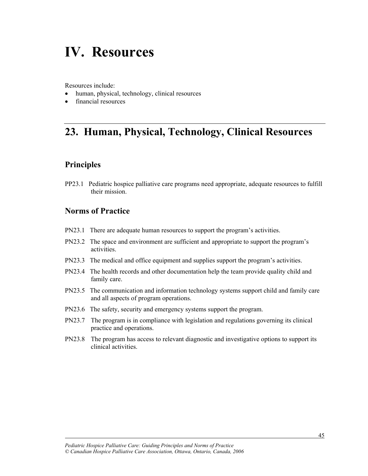## **IV. Resources**

Resources include:

- human, physical, technology, clinical resources
- financial resources

### **23. Human, Physical, Technology, Clinical Resources**

#### **Principles**

l

PP23.1 Pediatric hospice palliative care programs need appropriate, adequate resources to fulfill their mission.

- PN23.1 There are adequate human resources to support the program's activities.
- PN23.2 The space and environment are sufficient and appropriate to support the program's activities.
- PN23.3 The medical and office equipment and supplies support the program's activities.
- PN23.4 The health records and other documentation help the team provide quality child and family care.
- PN23.5 The communication and information technology systems support child and family care and all aspects of program operations.
- PN23.6 The safety, security and emergency systems support the program.
- PN23.7 The program is in compliance with legislation and regulations governing its clinical practice and operations.
- PN23.8 The program has access to relevant diagnostic and investigative options to support its clinical activities.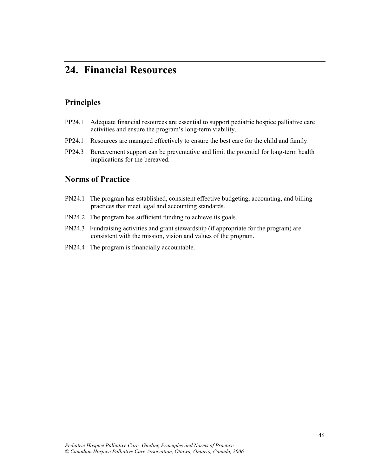### **24. Financial Resources**

#### **Principles**

- PP24.1 Adequate financial resources are essential to support pediatric hospice palliative care activities and ensure the program's long-term viability.
- PP24.1 Resources are managed effectively to ensure the best care for the child and family.
- PP24.3 Bereavement support can be preventative and limit the potential for long-term health implications for the bereaved.

#### **Norms of Practice**

- PN24.1 The program has established, consistent effective budgeting, accounting, and billing practices that meet legal and accounting standards.
- PN24.2 The program has sufficient funding to achieve its goals.
- PN24.3 Fundraising activities and grant stewardship (if appropriate for the program) are consistent with the mission, vision and values of the program.
- PN24.4 The program is financially accountable.

*Pediatric Hospice Palliative Care: Guiding Principles and Norms of Practice © Canadian Hospice Palliative Care Association, Ottawa, Ontario, Canada, 2006*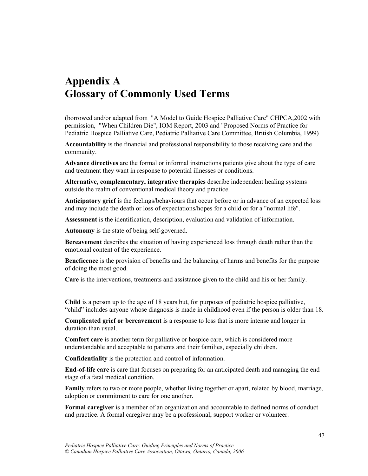### **Appendix A Glossary of Commonly Used Terms**

(borrowed and/or adapted from "A Model to Guide Hospice Palliative Care" CHPCA,2002 with permission, "When Children Die", IOM Report, 2003 and "Proposed Norms of Practice for Pediatric Hospice Palliative Care, Pediatric Palliative Care Committee, British Columbia, 1999)

**Accountability** is the financial and professional responsibility to those receiving care and the community.

**Advance directives** are the formal or informal instructions patients give about the type of care and treatment they want in response to potential illnesses or conditions.

**Alternative, complementary, integrative therapies** describe independent healing systems outside the realm of conventional medical theory and practice.

**Anticipatory grief** is the feelings/behaviours that occur before or in advance of an expected loss and may include the death or loss of expectations/hopes for a child or for a "normal life".

**Assessment** is the identification, description, evaluation and validation of information.

**Autonomy** is the state of being self-governed.

**Bereavement** describes the situation of having experienced loss through death rather than the emotional content of the experience.

**Beneficence** is the provision of benefits and the balancing of harms and benefits for the purpose of doing the most good.

**Care** is the interventions, treatments and assistance given to the child and his or her family.

**Child** is a person up to the age of 18 years but, for purposes of pediatric hospice palliative, "child" includes anyone whose diagnosis is made in childhood even if the person is older than 18.

**Complicated grief or bereavement** is a response to loss that is more intense and longer in duration than usual.

**Comfort care** is another term for palliative or hospice care, which is considered more understandable and acceptable to patients and their families, especially children.

**Confidentiality** is the protection and control of information.

**End-of-life care** is care that focuses on preparing for an anticipated death and managing the end stage of a fatal medical condition.

**Family** refers to two or more people, whether living together or apart, related by blood, marriage, adoption or commitment to care for one another.

**Formal caregiver** is a member of an organization and accountable to defined norms of conduct and practice. A formal caregiver may be a professional, support worker or volunteer.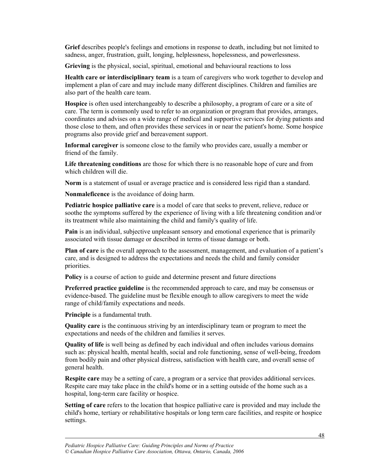**Grief** describes people's feelings and emotions in response to death, including but not limited to sadness, anger, frustration, guilt, longing, helplessness, hopelessness, and powerlessness.

**Grieving** is the physical, social, spiritual, emotional and behavioural reactions to loss

**Health care or interdisciplinary team** is a team of caregivers who work together to develop and implement a plan of care and may include many different disciplines. Children and families are also part of the health care team.

**Hospice** is often used interchangeably to describe a philosophy, a program of care or a site of care. The term is commonly used to refer to an organization or program that provides, arranges, coordinates and advises on a wide range of medical and supportive services for dying patients and those close to them, and often provides these services in or near the patient's home. Some hospice programs also provide grief and bereavement support.

**Informal caregiver** is someone close to the family who provides care, usually a member or friend of the family.

**Life threatening conditions** are those for which there is no reasonable hope of cure and from which children will die.

**Norm** is a statement of usual or average practice and is considered less rigid than a standard.

**Nonmaleficence** is the avoidance of doing harm.

**Pediatric hospice palliative care** is a model of care that seeks to prevent, relieve, reduce or soothe the symptoms suffered by the experience of living with a life threatening condition and/or its treatment while also maintaining the child and family's quality of life.

**Pain** is an individual, subjective unpleasant sensory and emotional experience that is primarily associated with tissue damage or described in terms of tissue damage or both.

**Plan of care** is the overall approach to the assessment, management, and evaluation of a patient's care, and is designed to address the expectations and needs the child and family consider priorities.

**Policy** is a course of action to guide and determine present and future directions

**Preferred practice guideline** is the recommended approach to care, and may be consensus or evidence-based. The guideline must be flexible enough to allow caregivers to meet the wide range of child/family expectations and needs.

**Principle** is a fundamental truth.

l

**Quality care** is the continuous striving by an interdisciplinary team or program to meet the expectations and needs of the children and families it serves.

**Quality of life** is well being as defined by each individual and often includes various domains such as: physical health, mental health, social and role functioning, sense of well-being, freedom from bodily pain and other physical distress, satisfaction with health care, and overall sense of general health.

**Respite care** may be a setting of care, a program or a service that provides additional services. Respite care may take place in the child's home or in a setting outside of the home such as a hospital, long-term care facility or hospice.

**Setting of care** refers to the location that hospice palliative care is provided and may include the child's home, tertiary or rehabilitative hospitals or long term care facilities, and respite or hospice settings.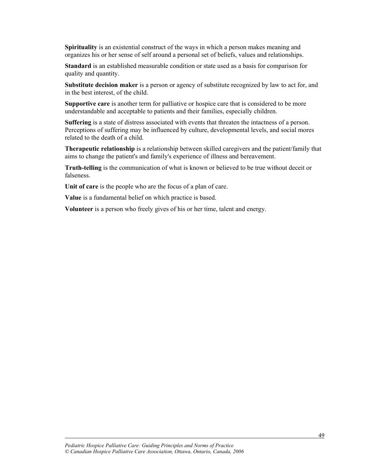**Spirituality** is an existential construct of the ways in which a person makes meaning and organizes his or her sense of self around a personal set of beliefs, values and relationships.

**Standard** is an established measurable condition or state used as a basis for comparison for quality and quantity.

**Substitute decision maker** is a person or agency of substitute recognized by law to act for, and in the best interest, of the child.

**Supportive care** is another term for palliative or hospice care that is considered to be more understandable and acceptable to patients and their families, especially children.

**Suffering** is a state of distress associated with events that threaten the intactness of a person. Perceptions of suffering may be influenced by culture, developmental levels, and social mores related to the death of a child.

**Therapeutic relationship** is a relationship between skilled caregivers and the patient/family that aims to change the patient's and family's experience of illness and bereavement.

**Truth-telling** is the communication of what is known or believed to be true without deceit or falseness.

**Unit of care** is the people who are the focus of a plan of care.

**Value** is a fundamental belief on which practice is based.

**Volunteer** is a person who freely gives of his or her time, talent and energy.

*Pediatric Hospice Palliative Care: Guiding Principles and Norms of Practice © Canadian Hospice Palliative Care Association, Ottawa, Ontario, Canada, 2006*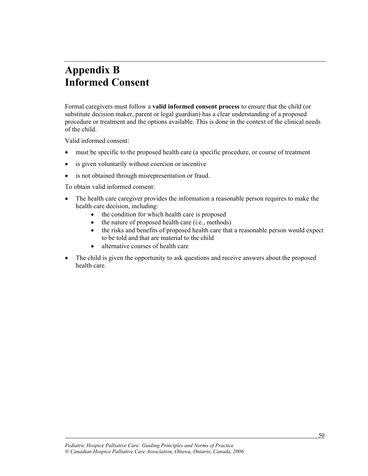### **Appendix B Informed Consent**

Formal caregivers must follow a **valid informed consent process** to ensure that the child (or substitute decision maker, parent or legal guardian) has a clear understanding of a proposed procedure or treatment and the options available. This is done in the context of the clinical needs of the child.

Valid informed consent:

l

- must be specific to the proposed health care (a specific procedure, or course of treatment
- $\bullet$  is given voluntarily without coercion or incentive
- is not obtained through misrepresentation or fraud.

To obtain valid informed consent:

- The health care caregiver provides the information a reasonable person requires to make the health care decision, including:
	- $\bullet$  the condition for which health care is proposed
	- $\bullet$  the nature of proposed health care (i.e., methods)
	- the risks and benefits of proposed health care that a reasonable person would expect to be told and that are material to the child
	- $\bullet$  alternative courses of health care
- The child is given the opportunity to ask questions and receive answers about the proposed health care.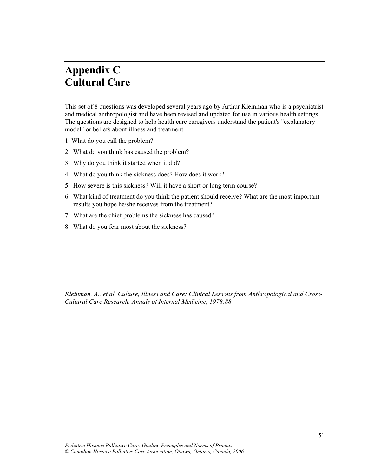### **Appendix C Cultural Care**

This set of 8 questions was developed several years ago by Arthur Kleinman who is a psychiatrist and medical anthropologist and have been revised and updated for use in various health settings. The questions are designed to help health care caregivers understand the patient's "explanatory model" or beliefs about illness and treatment.

- 1. What do you call the problem?
- 2. What do you think has caused the problem?
- 3. Why do you think it started when it did?
- 4. What do you think the sickness does? How does it work?
- 5. How severe is this sickness? Will it have a short or long term course?
- 6. What kind of treatment do you think the patient should receive? What are the most important results you hope he/she receives from the treatment?
- 7. What are the chief problems the sickness has caused?
- 8. What do you fear most about the sickness?

*Kleinman, A., et al. Culture, Illness and Care: Clinical Lessons from Anthropological and Cross-Cultural Care Research. Annals of Internal Medicine, 1978:88*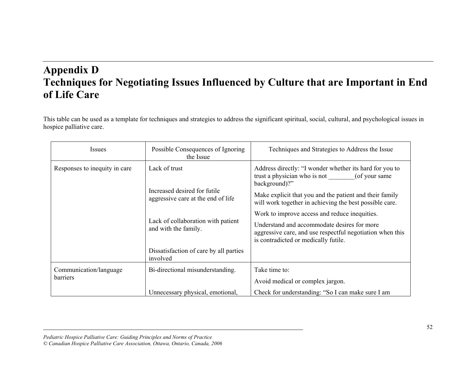### **Appendix D Techniques for Negotiating Issues Influenced by Culture that are Important in End of Life Care**

This table can be used as a template for techniques and strategies to address the significant spiritual, social, cultural, and psychological issues in hospice palliative care.

| <b>Issues</b>                 | Possible Consequences of Ignoring<br>the Issue                     | Techniques and Strategies to Address the Issue                                                                                                   |
|-------------------------------|--------------------------------------------------------------------|--------------------------------------------------------------------------------------------------------------------------------------------------|
| Responses to inequity in care | Lack of trust                                                      | Address directly: "I wonder whether its hard for you to<br>trust a physician who is not (of your same<br>background)?"                           |
|                               | Increased desired for futile<br>aggressive care at the end of life | Make explicit that you and the patient and their family<br>will work together in achieving the best possible care.                               |
|                               |                                                                    | Work to improve access and reduce inequities.                                                                                                    |
|                               | Lack of collaboration with patient<br>and with the family.         | Understand and accommodate desires for more<br>aggressive care, and use respectful negotiation when this<br>is contradicted or medically futile. |
|                               | Dissatisfaction of care by all parties<br>involved                 |                                                                                                                                                  |
| Communication/language        | Bi-directional misunderstanding.                                   | Take time to:                                                                                                                                    |
| barriers                      |                                                                    | Avoid medical or complex jargon.                                                                                                                 |
|                               | Unnecessary physical, emotional,                                   | Check for understanding: "So I can make sure I am                                                                                                |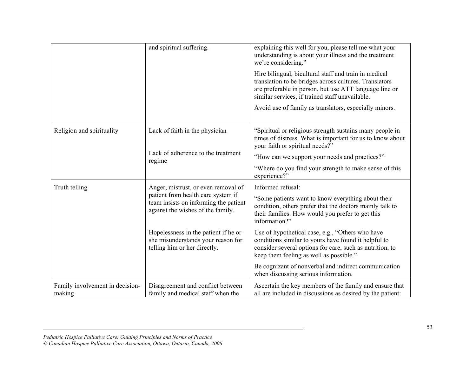|                                           | and spiritual suffering.                                                                                         | explaining this well for you, please tell me what your<br>understanding is about your illness and the treatment<br>we're considering."                                                                                       |  |
|-------------------------------------------|------------------------------------------------------------------------------------------------------------------|------------------------------------------------------------------------------------------------------------------------------------------------------------------------------------------------------------------------------|--|
|                                           |                                                                                                                  | Hire bilingual, bicultural staff and train in medical<br>translation to be bridges across cultures. Translators<br>are preferable in person, but use ATT language line or<br>similar services, if trained staff unavailable. |  |
|                                           |                                                                                                                  | Avoid use of family as translators, especially minors.                                                                                                                                                                       |  |
| Religion and spirituality                 | Lack of faith in the physician                                                                                   | "Spiritual or religious strength sustains many people in<br>times of distress. What is important for us to know about<br>your faith or spiritual needs?"                                                                     |  |
|                                           | Lack of adherence to the treatment<br>regime                                                                     | "How can we support your needs and practices?"                                                                                                                                                                               |  |
|                                           |                                                                                                                  | "Where do you find your strength to make sense of this<br>experience?"                                                                                                                                                       |  |
| Truth telling                             | Anger, mistrust, or even removal of                                                                              | Informed refusal:                                                                                                                                                                                                            |  |
|                                           | patient from health care system if<br>team insists on informing the patient<br>against the wishes of the family. | "Some patients want to know everything about their<br>condition, others prefer that the doctors mainly talk to<br>their families. How would you prefer to get this<br>information?"                                          |  |
|                                           | Hopelessness in the patient if he or<br>she misunderstands your reason for<br>telling him or her directly.       | Use of hypothetical case, e.g., "Others who have<br>conditions similar to yours have found it helpful to<br>consider several options for care, such as nutrition, to<br>keep them feeling as well as possible."              |  |
|                                           |                                                                                                                  | Be cognizant of nonverbal and indirect communication<br>when discussing serious information.                                                                                                                                 |  |
| Family involvement in decision-<br>making | Disagreement and conflict between<br>family and medical staff when the                                           | Ascertain the key members of the family and ensure that<br>all are included in discussions as desired by the patient:                                                                                                        |  |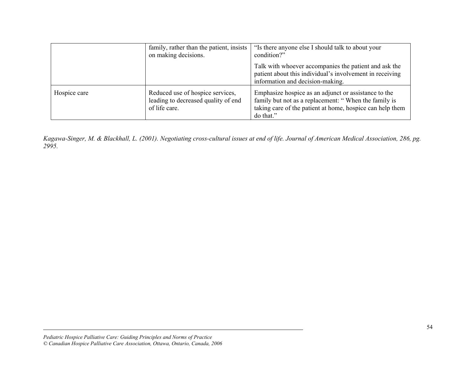|              | family, rather than the patient, insists<br>on making decisions.                         | "Is there anyone else I should talk to about your<br>condition?"                                                                                                                       |
|--------------|------------------------------------------------------------------------------------------|----------------------------------------------------------------------------------------------------------------------------------------------------------------------------------------|
|              |                                                                                          | Talk with whoever accompanies the patient and ask the<br>patient about this individual's involvement in receiving<br>information and decision-making.                                  |
| Hospice care | Reduced use of hospice services,<br>leading to decreased quality of end<br>of life care. | Emphasize hospice as an adjunct or assistance to the<br>family but not as a replacement: "When the family is<br>taking care of the patient at home, hospice can help them<br>do that." |

*Kagawa-Singer, M. & Blackhall, L. (2001). Negotiating cross-cultural issues at end of life. Journal of American Medical Association, 286, pg. 2995.*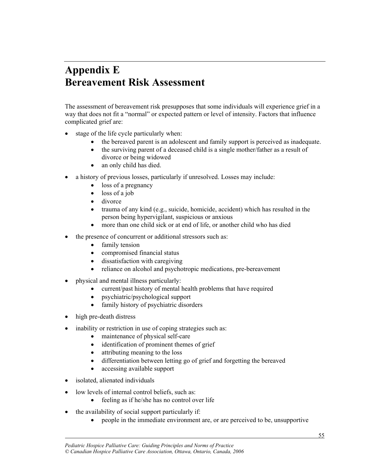### **Appendix E Bereavement Risk Assessment**

The assessment of bereavement risk presupposes that some individuals will experience grief in a way that does not fit a "normal" or expected pattern or level of intensity. Factors that influence complicated grief are:

- stage of the life cycle particularly when:
	- the bereaved parent is an adolescent and family support is perceived as inadequate.
	- $\bullet$  the surviving parent of a deceased child is a single mother/father as a result of divorce or being widowed
	- an only child has died.
- a history of previous losses, particularly if unresolved. Losses may include:
	- $\bullet$  loss of a pregnancy
	- $\bullet$  loss of a job
	- $\bullet$  divorce
	- x trauma of any kind (e.g., suicide, homicide, accident) which has resulted in the person being hypervigilant, suspicious or anxious
	- more than one child sick or at end of life, or another child who has died
	- the presence of concurrent or additional stressors such as:
		- family tension
		- compromised financial status
		- $\bullet$  dissatisfaction with caregiving
		- reliance on alcohol and psychotropic medications, pre-bereavement
- x physical and mental illness particularly:
	- current/past history of mental health problems that have required
	- $\bullet$  psychiatric/psychological support
	- $\bullet$  family history of psychiatric disorders
- high pre-death distress
- inability or restriction in use of coping strategies such as:
	- maintenance of physical self-care
	- identification of prominent themes of grief
	- attributing meaning to the loss
	- differentiation between letting go of grief and forgetting the bereaved
	- accessing available support
- isolated, alienated individuals

- $\bullet$  low levels of internal control beliefs, such as:
	- $\bullet$  feeling as if he/she has no control over life
- $\bullet$  the availability of social support particularly if:
	- people in the immediate environment are, or are perceived to be, unsupportive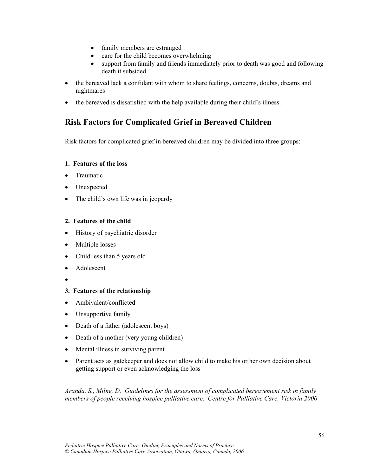- family members are estranged
- care for the child becomes overwhelming
- support from family and friends immediately prior to death was good and following death it subsided
- the bereaved lack a confidant with whom to share feelings, concerns, doubts, dreams and nightmares
- the bereaved is dissatisfied with the help available during their child's illness.

#### **Risk Factors for Complicated Grief in Bereaved Children**

Risk factors for complicated grief in bereaved children may be divided into three groups:

#### **1. Features of the loss**

- Traumatic
- Unexpected
- $\bullet$  The child's own life was in jeopardy

#### **2. Features of the child**

- $\bullet$  History of psychiatric disorder
- Multiple losses
- Child less than 5 years old
- Adolescent
- $\bullet$

l

#### **3. Features of the relationship**

- Ambivalent/conflicted
- Unsupportive family
- Death of a father (adolescent boys)
- Death of a mother (very young children)
- Mental illness in surviving parent
- Parent acts as gatekeeper and does not allow child to make his or her own decision about getting support or even acknowledging the loss

*Aranda, S., Milne, D. Guidelines for the assessment of complicated bereavement risk in family members of people receiving hospice palliative care. Centre for Palliative Care, Victoria 2000*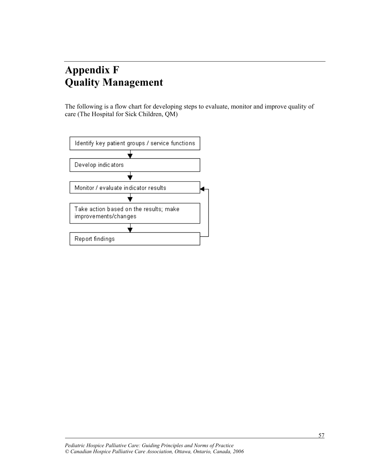### **Appendix F Quality Management**

The following is a flow chart for developing steps to evaluate, monitor and improve quality of care (The Hospital for Sick Children, QM)

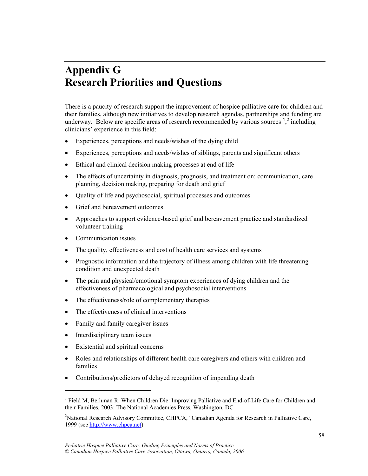### **Appendix G Research Priorities and Questions**

There is a paucity of research support the improvement of hospice palliative care for children and their families, although new initiatives to develop research agendas, partnerships and funding are underway. Below are specific areas of research recommended by various sources  $\frac{1}{2}$  including clinicians' experience in this field:

- Experiences, perceptions and needs/wishes of the dying child
- $\bullet$  Experiences, perceptions and needs/wishes of siblings, parents and significant others
- $\bullet$  Ethical and clinical decision making processes at end of life
- The effects of uncertainty in diagnosis, prognosis, and treatment on: communication, care planning, decision making, preparing for death and grief
- Quality of life and psychosocial, spiritual processes and outcomes
- Grief and bereavement outcomes
- Approaches to support evidence-based grief and bereavement practice and standardized volunteer training
- Communication issues
- The quality, effectiveness and cost of health care services and systems
- Prognostic information and the trajectory of illness among children with life threatening condition and unexpected death
- The pain and physical/emotional symptom experiences of dying children and the effectiveness of pharmacological and psychosocial interventions
- The effectiveness/role of complementary therapies
- The effectiveness of clinical interventions
- Family and family caregiver issues
- $\bullet$  Interdisciplinary team issues

l

1

- Existential and spiritual concerns
- Roles and relationships of different health care caregivers and others with children and families
- Contributions/predictors of delayed recognition of impending death

<sup>&</sup>lt;sup>1</sup> Field M, Berhman R. When Children Die: Improving Palliative and End-of-Life Care for Children and their Families, 2003: The National Academies Press, Washington, DC

<sup>&</sup>lt;sup>2</sup>National Research Advisory Committee, CHPCA, "Canadian Agenda for Research in Palliative Care, 1999 (see http://www.chpca.net)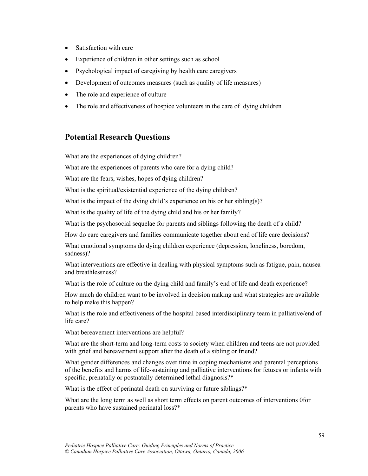- $\bullet$  Satisfaction with care
- Experience of children in other settings such as school
- Psychological impact of caregiving by health care caregivers
- Development of outcomes measures (such as quality of life measures)
- The role and experience of culture
- The role and effectiveness of hospice volunteers in the care of dying children

#### **Potential Research Questions**

What are the experiences of dying children?

What are the experiences of parents who care for a dying child?

What are the fears, wishes, hopes of dying children?

What is the spiritual/existential experience of the dying children?

What is the impact of the dying child's experience on his or her sibling(s)?

What is the quality of life of the dying child and his or her family?

What is the psychosocial sequelae for parents and siblings following the death of a child?

How do care caregivers and families communicate together about end of life care decisions?

What emotional symptoms do dying children experience (depression, loneliness, boredom, sadness)?

What interventions are effective in dealing with physical symptoms such as fatigue, pain, nausea and breathlessness?

What is the role of culture on the dying child and family's end of life and death experience?

How much do children want to be involved in decision making and what strategies are available to help make this happen?

What is the role and effectiveness of the hospital based interdisciplinary team in palliative/end of life care?

What bereavement interventions are helpful?

l

What are the short-term and long-term costs to society when children and teens are not provided with grief and bereavement support after the death of a sibling or friend?

What gender differences and changes over time in coping mechanisms and parental perceptions of the benefits and harms of life-sustaining and palliative interventions for fetuses or infants with specific, prenatally or postnatally determined lethal diagnosis?\*

What is the effect of perinatal death on surviving or future siblings?\*

What are the long term as well as short term effects on parent outcomes of interventions 0for parents who have sustained perinatal loss?\*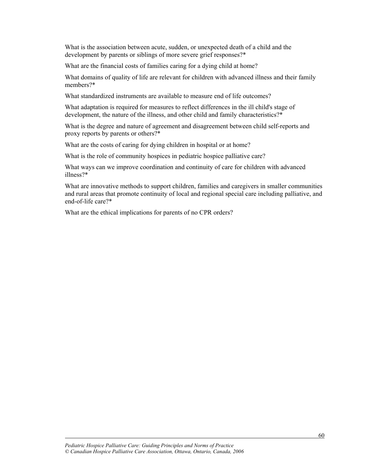What is the association between acute, sudden, or unexpected death of a child and the development by parents or siblings of more severe grief responses?\*

What are the financial costs of families caring for a dying child at home?

What domains of quality of life are relevant for children with advanced illness and their family members?\*

What standardized instruments are available to measure end of life outcomes?

What adaptation is required for measures to reflect differences in the ill child's stage of development, the nature of the illness, and other child and family characteristics?\*

What is the degree and nature of agreement and disagreement between child self-reports and proxy reports by parents or others?\*

What are the costs of caring for dying children in hospital or at home?

What is the role of community hospices in pediatric hospice palliative care?

What ways can we improve coordination and continuity of care for children with advanced illness?\*

What are innovative methods to support children, families and caregivers in smaller communities and rural areas that promote continuity of local and regional special care including palliative, and end-of-life care?\*

What are the ethical implications for parents of no CPR orders?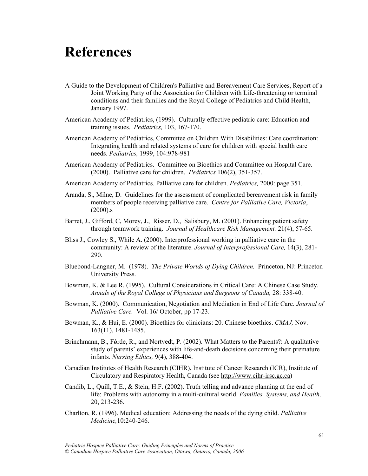### **References**

- A Guide to the Development of Children's Palliative and Bereavement Care Services, Report of a Joint Working Party of the Association for Children with Life-threatening or terminal conditions and their families and the Royal College of Pediatrics and Child Health, January 1997.
- American Academy of Pediatrics, (1999). Culturally effective pediatric care: Education and training issues. *Pediatrics,* 103, 167-170.
- American Academy of Pediatrics, Committee on Children With Disabilities: Care coordination: Integrating health and related systems of care for children with special health care needs. *Pediatrics,* 1999, 104:978-981
- American Academy of Pediatrics. Committee on Bioethics and Committee on Hospital Care. (2000). Palliative care for children. *Pediatrics* 106(2), 351-357.
- American Academy of Pediatrics. Palliative care for children. *Pediatrics,* 2000: page 351.
- Aranda, S., Milne, D. Guidelines for the assessment of complicated bereavement risk in family members of people receiving palliative care. *Centre for Palliative Care, Victoria*,  $(2000)$ .s
- Barret, J., Gifford, C, Morey, J., Risser, D., Salisbury, M. (2001). Enhancing patient safety through teamwork training. *Journal of Healthcare Risk Management.* 21(4), 57-65.
- Bliss J., Cowley S., While A. (2000). Interprofessional working in palliative care in the community: A review of the literature. *Journal of Interprofessional Care,* 14(3), 281- 290.
- Bluebond-Langner, M. (1978). *The Private Worlds of Dying Children.* Princeton, NJ: Princeton University Press.
- Bowman, K. & Lee R. (1995). Cultural Considerations in Critical Care: A Chinese Case Study. *Annals of the Royal College of Physicians and Surgeons of Canada,* 28: 338-40.
- Bowman, K. (2000). Communication, Negotiation and Mediation in End of Life Care. *Journal of Palliative Care.* Vol. 16/ October, pp 17-23.
- Bowman, K., & Hui, E. (2000). Bioethics for clinicians: 20. Chinese bioethics. *CMAJ,* Nov. 163(11), 1481-1485.
- Brinchmann, B., Førde, R., and Nortvedt, P. (2002). What Matters to the Parents?: A qualitative study of parents' experiences with life-and-death decisions concerning their premature infants. *Nursing Ethics,* 9(4), 388-404.
- Canadian Institutes of Health Research (CIHR), Institute of Cancer Research (ICR), Institute of Circulatory and Respiratory Health, Canada (see http://www.cihr-irsc.gc.ca)
- Candib, L., Quill, T.E., & Stein, H.F. (2002). Truth telling and advance planning at the end of life: Problems with autonomy in a multi-cultural world. *Families, Systems, and Health,*  20, 213-236.
- Charlton, R. (1996). Medical education: Addressing the needs of the dying child. *Palliative Medicine,*10:240-246.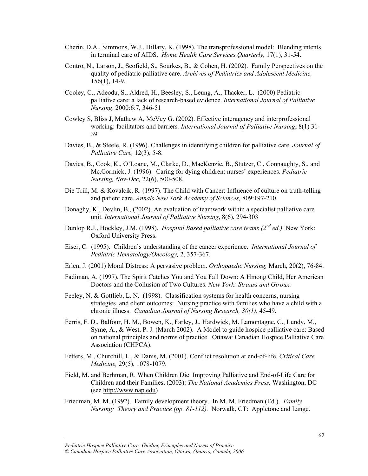- Cherin, D.A., Simmons, W.J., Hillary, K. (1998). The transprofessional model: Blending intents in terminal care of AIDS. *Home Health Care Services Quarterly,* 17(1), 31-54.
- Contro, N., Larson, J., Scofield, S., Sourkes, B., & Cohen, H. (2002). Family Perspectives on the quality of pediatric palliative care. *Archives of Pediatrics and Adolescent Medicine,* 156(1), 14-9.
- Cooley, C., Adeodu, S., Aldred, H., Beesley, S., Leung, A., Thacker, L. (2000) Pediatric palliative care: a lack of research-based evidence. *International Journal of Palliative Nursing*. 2000:6:7, 346-51
- Cowley S, Bliss J, Mathew A, McVey G. (2002). Effective interagency and interprofessional working: facilitators and barriers*. International Journal of Palliative Nursing*, 8(1) 31- 39
- Davies, B., & Steele, R. (1996). Challenges in identifying children for palliative care. *Journal of Palliative Care,* 12(3), 5-8.
- Davies, B., Cook, K., O'Loane, M., Clarke, D., MacKenzie, B., Stutzer, C., Connaughty, S., and Mc.Cormick, J. (1996). Caring for dying children: nurses' experiences. *Pediatric Nursing, Nov-Dec,* 22(6), 500-508.
- Die Trill, M. & Kovalcik, R. (1997). The Child with Cancer: Influence of culture on truth-telling and patient care. *Annals New York Academy of Sciences,* 809:197-210.
- Donaghy, K., Devlin, B., (2002). An evaluation of teamwork within a specialist palliative care unit. *International Journal of Palliative Nursing*, 8(6), 294-303
- Dunlop R.J., Hockley, J.M. (1998). *Hospital Based palliative care teams (2nd ed.)* New York: Oxford University Press.
- Eiser, C. (1995). Children's understanding of the cancer experience. *International Journal of Pediatric Hematology/Oncology,* 2, 357-367.
- Erlen, J. (2001) Moral Distress: A pervasive problem. *Orthopaedic Nursing,* March, 20(2), 76-84.
- Fadiman, A. (1997). The Spirit Catches You and You Fall Down: A Hmong Child, Her American Doctors and the Collusion of Two Cultures. *New York: Strauss and Giroux.*
- Feeley, N. & Gottlieb, L. N. (1998). Classification systems for health concerns, nursing strategies, and client outcomes: Nursing practice with families who have a child with a chronic illness. *Canadian Journal of Nursing Research, 30(1)*, 45-49.
- Ferris, F. D., Balfour, H. M., Bowen, K., Farley, J., Hardwick, M. Lamontagne, C., Lundy, M., Syme, A., & West, P. J. (March 2002). A Model to guide hospice palliative care: Based on national principles and norms of practice. Ottawa: Canadian Hospice Palliative Care Association (CHPCA).
- Fetters, M., Churchill, L., & Danis, M. (2001). Conflict resolution at end-of-life. *Critical Care Medicine,* 29(5), 1078-1079.
- Field, M. and Berhman, R. When Children Die: Improving Palliative and End-of-Life Care for Children and their Families, (2003): *The National Academies Press,* Washington, DC (see http://www.nap.edu)
- Friedman, M. M. (1992). Family development theory. In M. M. Friedman (Ed.). *Family Nursing: Theory and Practice (pp. 81-112).* Norwalk, CT: Appletone and Lange.

*Pediatric Hospice Palliative Care: Guiding Principles and Norms of Practice © Canadian Hospice Palliative Care Association, Ottawa, Ontario, Canada, 2006*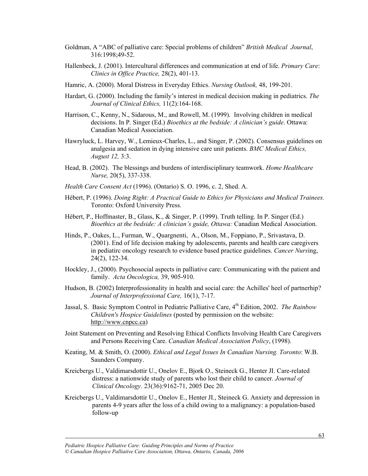- Goldman, A "ABC of palliative care: Special problems of children" *British Medical Journal*, 316:1998;49-52.
- Hallenbeck, J. (2001). Intercultural differences and communication at end of life. *Primary Care*: *Clinics in Office Practice,* 28(2), 401-13.
- Hamric, A. (2000). Moral Distress in Everyday Ethics. *Nursing Outlook,* 48, 199-201.
- Hardart, G. (2000). Including the family's interest in medical decision making in pediatrics. *The Journal of Clinical Ethics,* 11(2):164-168.
- Harrison, C., Kenny, N., Sidarous, M., and Rowell, M. (1999). Involving children in medical decisions. In P. Singer (Ed.) *Bioethics at the bedside: A clinician's guide*. Ottawa: Canadian Medical Association.
- Hawryluck, L. Harvey, W., Lemieux-Charles, L., and Singer, P. (2002). Consensus guidelines on analgesia and sedation in dying intensive care unit patients. *BMC Medical Ethics, August 12,* 3:3.
- Head, B. (2002). The blessings and burdens of interdisciplinary teamwork. *Home Healthcare Nurse,* 20(5), 337-338.
- *Health Care Consent Act* (1996). (Ontario) S. O. 1996, c. 2, Shed. A.
- Hébert, P. (1996). *Doing Right: A Practical Guide to Ethics for Physicians and Medical Trainees.*  Toronto: Oxford University Press.
- Hébert, P., Hoffmaster, B., Glass, K., & Singer, P. (1999). Truth telling. In P. Singer (Ed.) *Bioethics at the bedside: A clinician's guide, Ottawa:* Canadian Medical Association.
- Hinds, P., Oakes, L., Furman, W., Quargnenti, A., Olson, M., Foppiano, P., Srivastava, D. (2001). End of life decision making by adolescents, parents and health care caregivers in pediatirc oncology research to evidence based practice guidelines. *Cancer Nurs*ing, 24(2), 122-34.
- Hockley, J., (2000). Psychosocial aspects in palliative care: Communicating with the patient and family. *Acta Oncologica,* 39, 905-910.
- Hudson, B. (2002) Interprofessionality in health and social care: the Achilles' heel of partnerhip? *Journal of Interprofessional Care,* 16(1), 7-17.
- Jassal, S. Basic Symptom Control in Pediatric Palliative Care, 4<sup>th</sup> Edition, 2002. *The Rainbow Children's Hospice Guidelines* (posted by permission on the website: http://www.cnpcc.ca)
- Joint Statement on Preventing and Resolving Ethical Conflicts Involving Health Care Caregivers and Persons Receiving Care. *Canadian Medical Association Policy*, (1998).
- Keating, M. & Smith, O. (2000). *Ethical and Legal Issues In Canadian Nursing. Toronto*: W.B. Saunders Company.
- Kreicbergs U., Valdimarsdottir U., Onelov E., Bjork O., Steineck G., Henter JI. Care-related distress: a nationwide study of parents who lost their child to cancer. *Journal of Clinical Oncology*. 23(36):9162-71, 2005 Dec 20.
- Kreicbergs U., Valdimarsdottir U., Onelov E., Henter JI., Steineck G. Anxiety and depression in parents 4-9 years after the loss of a child owing to a malignancy: a population-based follow-up

*Pediatric Hospice Palliative Care: Guiding Principles and Norms of Practice © Canadian Hospice Palliative Care Association, Ottawa, Ontario, Canada, 2006*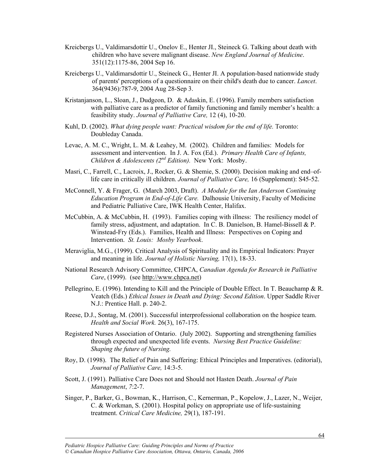- Kreicbergs U., Valdimarsdottir U., Onelov E., Henter JI., Steineck G. Talking about death with children who have severe malignant disease. *New England Journal of Medicine*. 351(12):1175-86, 2004 Sep 16.
- Kreicbergs U., Valdimarsdottir U., Steineck G., Henter JI. A population-based nationwide study of parents' perceptions of a questionnaire on their child's death due to cancer. *Lancet*. 364(9436):787-9, 2004 Aug 28-Sep 3.
- Kristanjanson, L., Sloan, J., Dudgeon, D. & Adaskin, E. (1996). Family members satisfaction with palliative care as a predictor of family functioning and family member's health: a feasibility study. *Journal of Palliative Care,* 12 (4), 10-20.
- Kuhl, D. (2002). *What dying people want: Practical wisdom for the end of life.* Toronto: Doubleday Canada.
- Levac, A. M. C., Wright, L. M. & Leahey, M. (2002). Children and families: Models for assessment and intervention. In J. A. Fox (Ed.). *Primary Health Care of Infants, Children & Adolescents (2nd Edition).* New York: Mosby.
- Masri, C., Farrell, C., Lacroix, J., Rocker, G. & Shemie, S. (2000). Decision making and end–oflife care in critically ill children. *Journal of Palliative Care,* 16 (Supplement): S45-52.
- McConnell, Y. & Frager, G. (March 2003, Draft). *A Module for the Ian Anderson Continuing Education Program in End-of-Life Care.* Dalhousie University, Faculty of Medicine and Pediatric Palliative Care, IWK Health Center, Halifax.
- McCubbin, A. & McCubbin, H. (1993). Families coping with illness: The resiliency model of family stress, adjustment, and adaptation. In C. B. Danielson, B. Hamel-Bissell & P. Winstead-Fry (Eds.). Families, Health and Illness: Perspectives on Coping and Intervention. *St. Louis: Mosby Yearbook*.
- Meraviglia, M.G., (1999). Critical Analysis of Spirituality and its Empirical Indicators: Prayer and meaning in life. *Journal of Holistic Nursing,* 17(1), 18-33.
- National Research Advisory Committee, CHPCA, *Canadian Agenda for Research in Palliative Care*, (1999). (see http://www.chpca.net)
- Pellegrino, E. (1996). Intending to Kill and the Principle of Double Effect. In T. Beauchamp & R. Veatch (Eds.) *Ethical Issues in Death and Dying: Second Edition*. Upper Saddle River N.J.: Prentice Hall. p. 240-2.
- Reese, D.J., Sontag, M. (2001). Successful interprofessional collaboration on the hospice team. *Health and Social Work.* 26(3), 167-175.
- Registered Nurses Association of Ontario. (July 2002). Supporting and strengthening families through expected and unexpected life events. *Nursing Best Practice Guideline: Shaping the future of Nursing.*
- Roy, D. (1998). The Relief of Pain and Suffering: Ethical Principles and Imperatives. (editorial), *Journal of Palliative Care,* 14:3-5.
- Scott, J. (1991). Palliative Care Does not and Should not Hasten Death. *Journal of Pain Management*, *7*:2-7.
- Singer, P., Barker, G., Bowman, K., Harrison, C., Kernerman, P., Kopelow, J., Lazer, N., Weijer, C. & Workman, S. (2001). Hospital policy on appropriate use of life-sustaining treatment. *Critical Care Medicine,* 29(1), 187-191.

*Pediatric Hospice Palliative Care: Guiding Principles and Norms of Practice © Canadian Hospice Palliative Care Association, Ottawa, Ontario, Canada, 2006*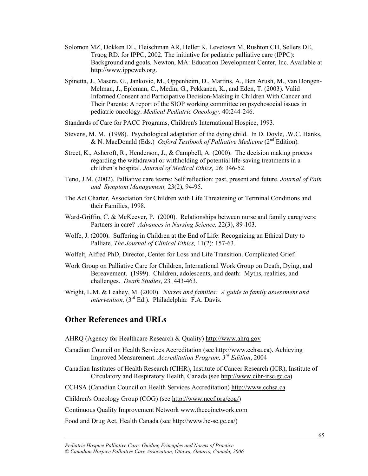- Solomon MZ, Dokken DL, Fleischman AR, Heller K, Levetown M, Rushton CH, Sellers DE, Truog RD. for IPPC, 2002. The initiative for pediatric palliative care (IPPC): Background and goals. Newton, MA: Education Development Center, Inc. Available at http://www.ippcweb.org.
- Spinetta, J., Masera, G., Jankovic, M., Oppenheim, D., Martins, A., Ben Arush, M., van Dongen-Melman, J., Epleman, C., Medin, G., Pekkanen, K., and Eden, T. (2003). Valid Informed Consent and Participative Decision-Making in Children With Cancer and Their Parents: A report of the SIOP working committee on psychosocial issues in pediatric oncology. *Medical Pediatric Oncology,* 40:244-246.
- Standards of Care for PACC Programs, Children's International Hospice, 1993.
- Stevens, M. M. (1998). Psychological adaptation of the dying child. In D. Doyle, .W.C. Hanks, & N. MacDonald (Eds.) *Oxford Textbook of Palliative Medicine* (2nd Edition)*.*
- Street, K., Ashcroft, R., Henderson, J., & Campbell, A. (2000). The decision making process regarding the withdrawal or withholding of potential life-saving treatments in a children's hospital. *Journal of Medical Ethics, 26*: 346-52.
- Teno, J.M. (2002). Palliative care teams: Self reflection: past, present and future. *Journal of Pain and Symptom Management,* 23(2), 94-95.
- The Act Charter, Association for Children with Life Threatening or Terminal Conditions and their Families, 1998.
- Ward-Griffin, C. & McKeever, P. (2000). Relationships between nurse and family caregivers: Partners in care? *Advances in Nursing Science,* 22(3), 89-103.
- Wolfe, J. (2000). Suffering in Children at the End of Life: Recognizing an Ethical Duty to Palliate, *The Journal of Clinical Ethics,* 11(2): 157-63.
- Wolfelt, Alfred PhD, Director, Center for Loss and Life Transition. Complicated Grief.
- Work Group on Palliative Care for Children, International Work Group on Death, Dying, and Bereavement. (1999). Children, adolescents, and death: Myths, realities, and challenges. *Death Studies*, 23*,* 443-463.
- Wright, L.M. & Leahey, M. (2000). *Nurses and families: A guide to family assessment and intervention,* (3<sup>rd</sup> Ed.). Philadelphia: F.A. Davis.

#### **Other References and URLs**

l

- AHRQ (Agency for Healthcare Research & Quality) http://www.ahrq.gov
- Canadian Council on Health Services Accreditation (see http://www.cchsa.ca). Achieving Improved Measurement. *Accreditation Program, 3rd Edition*, 2004
- Canadian Institutes of Health Research (CIHR), Institute of Cancer Research (ICR), Institute of Circulatory and Respiratory Health, Canada (see http://www.cihr-irsc.gc.ca)

CCHSA (Canadian Council on Health Services Accreditation) http://www.cchsa.ca

Children's Oncology Group (COG) (see http://www.nccf.org/cog/)

Continuous Quality Improvement Network www.thecqinetwork.com

Food and Drug Act, Health Canada (see http://www.hc-sc.gc.ca/)